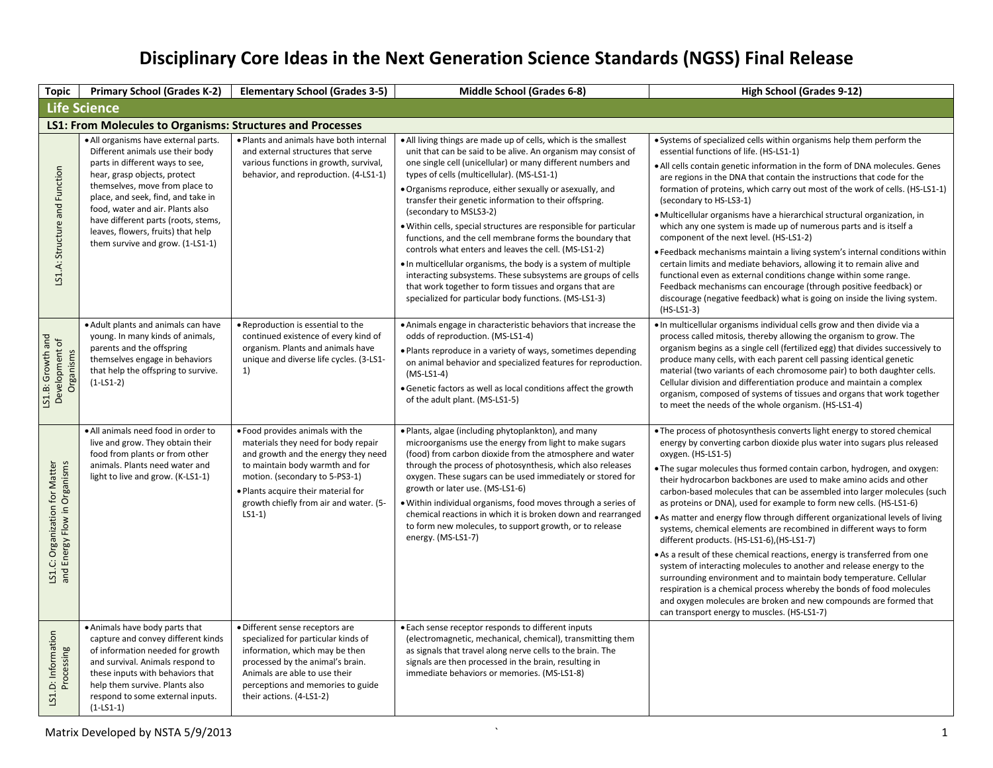## **Disciplinary Core Ideas in the Next Generation Science Standards (NGSS) Final Release**

| <b>Topic</b>                                                          | <b>Primary School (Grades K-2)</b>                                                                                                                                                                                                                                                                                                                                       | <b>Elementary School (Grades 3-5)</b>                                                                                                                                                                                                                                            | <b>Middle School (Grades 6-8)</b>                                                                                                                                                                                                                                                                                                                                                                                                                                                                                                                                                                                                                                                                                                                                                                                                           | <b>High School (Grades 9-12)</b>                                                                                                                                                                                                                                                                                                                                                                                                                                                                                                                                                                                                                                                                                                                                                                                                                                                                                                                                                                                                                                                                           |
|-----------------------------------------------------------------------|--------------------------------------------------------------------------------------------------------------------------------------------------------------------------------------------------------------------------------------------------------------------------------------------------------------------------------------------------------------------------|----------------------------------------------------------------------------------------------------------------------------------------------------------------------------------------------------------------------------------------------------------------------------------|---------------------------------------------------------------------------------------------------------------------------------------------------------------------------------------------------------------------------------------------------------------------------------------------------------------------------------------------------------------------------------------------------------------------------------------------------------------------------------------------------------------------------------------------------------------------------------------------------------------------------------------------------------------------------------------------------------------------------------------------------------------------------------------------------------------------------------------------|------------------------------------------------------------------------------------------------------------------------------------------------------------------------------------------------------------------------------------------------------------------------------------------------------------------------------------------------------------------------------------------------------------------------------------------------------------------------------------------------------------------------------------------------------------------------------------------------------------------------------------------------------------------------------------------------------------------------------------------------------------------------------------------------------------------------------------------------------------------------------------------------------------------------------------------------------------------------------------------------------------------------------------------------------------------------------------------------------------|
|                                                                       | <b>Life Science</b>                                                                                                                                                                                                                                                                                                                                                      |                                                                                                                                                                                                                                                                                  |                                                                                                                                                                                                                                                                                                                                                                                                                                                                                                                                                                                                                                                                                                                                                                                                                                             |                                                                                                                                                                                                                                                                                                                                                                                                                                                                                                                                                                                                                                                                                                                                                                                                                                                                                                                                                                                                                                                                                                            |
|                                                                       | <b>LS1: From Molecules to Organisms: Structures and Processes</b>                                                                                                                                                                                                                                                                                                        |                                                                                                                                                                                                                                                                                  |                                                                                                                                                                                                                                                                                                                                                                                                                                                                                                                                                                                                                                                                                                                                                                                                                                             |                                                                                                                                                                                                                                                                                                                                                                                                                                                                                                                                                                                                                                                                                                                                                                                                                                                                                                                                                                                                                                                                                                            |
| LS1.A: Structure and Function                                         | · All organisms have external parts.<br>Different animals use their body<br>parts in different ways to see,<br>hear, grasp objects, protect<br>themselves, move from place to<br>place, and seek, find, and take in<br>food, water and air. Plants also<br>have different parts (roots, stems,<br>leaves, flowers, fruits) that help<br>them survive and grow. (1-LS1-1) | · Plants and animals have both internal<br>and external structures that serve<br>various functions in growth, survival,<br>behavior, and reproduction. (4-LS1-1)                                                                                                                 | • All living things are made up of cells, which is the smallest<br>unit that can be said to be alive. An organism may consist of<br>one single cell (unicellular) or many different numbers and<br>types of cells (multicellular). (MS-LS1-1)<br>· Organisms reproduce, either sexually or asexually, and<br>transfer their genetic information to their offspring.<br>(secondary to MSLS3-2)<br>. Within cells, special structures are responsible for particular<br>functions, and the cell membrane forms the boundary that<br>controls what enters and leaves the cell. (MS-LS1-2)<br>. In multicellular organisms, the body is a system of multiple<br>interacting subsystems. These subsystems are groups of cells<br>that work together to form tissues and organs that are<br>specialized for particular body functions. (MS-LS1-3) | . Systems of specialized cells within organisms help them perform the<br>essential functions of life. (HS-LS1-1)<br>. All cells contain genetic information in the form of DNA molecules. Genes<br>are regions in the DNA that contain the instructions that code for the<br>formation of proteins, which carry out most of the work of cells. (HS-LS1-1)<br>(secondary to HS-LS3-1)<br>· Multicellular organisms have a hierarchical structural organization, in<br>which any one system is made up of numerous parts and is itself a<br>component of the next level. (HS-LS1-2)<br>· Feedback mechanisms maintain a living system's internal conditions within<br>certain limits and mediate behaviors, allowing it to remain alive and<br>functional even as external conditions change within some range.<br>Feedback mechanisms can encourage (through positive feedback) or<br>discourage (negative feedback) what is going on inside the living system.<br>$(HS-LS1-3)$                                                                                                                             |
| LS1.B: Growth and<br>Development of<br>Organisms                      | · Adult plants and animals can have<br>young. In many kinds of animals,<br>parents and the offspring<br>themselves engage in behaviors<br>that help the offspring to survive.<br>$(1-LS1-2)$                                                                                                                                                                             | . Reproduction is essential to the<br>continued existence of every kind of<br>organism. Plants and animals have<br>unique and diverse life cycles. (3-LS1-<br>1)                                                                                                                 | • Animals engage in characteristic behaviors that increase the<br>odds of reproduction. (MS-LS1-4)<br>. Plants reproduce in a variety of ways, sometimes depending<br>on animal behavior and specialized features for reproduction<br>$(MS-LS1-4)$<br>• Genetic factors as well as local conditions affect the growth<br>of the adult plant. (MS-LS1-5)                                                                                                                                                                                                                                                                                                                                                                                                                                                                                     | . In multicellular organisms individual cells grow and then divide via a<br>process called mitosis, thereby allowing the organism to grow. The<br>organism begins as a single cell (fertilized egg) that divides successively to<br>produce many cells, with each parent cell passing identical genetic<br>material (two variants of each chromosome pair) to both daughter cells.<br>Cellular division and differentiation produce and maintain a complex<br>organism, composed of systems of tissues and organs that work together<br>to meet the needs of the whole organism. (HS-LS1-4)                                                                                                                                                                                                                                                                                                                                                                                                                                                                                                                |
| C: Organization for Matter<br>Energy Flow in Organisms<br>and<br>LS1. | · All animals need food in order to<br>live and grow. They obtain their<br>food from plants or from other<br>animals. Plants need water and<br>light to live and grow. (K-LS1-1)                                                                                                                                                                                         | . Food provides animals with the<br>materials they need for body repair<br>and growth and the energy they need<br>to maintain body warmth and for<br>motion. (secondary to 5-PS3-1)<br>· Plants acquire their material for<br>growth chiefly from air and water. (5-<br>$LS1-1)$ | . Plants, algae (including phytoplankton), and many<br>microorganisms use the energy from light to make sugars<br>(food) from carbon dioxide from the atmosphere and water<br>through the process of photosynthesis, which also releases<br>oxygen. These sugars can be used immediately or stored for<br>growth or later use. (MS-LS1-6)<br>. Within individual organisms, food moves through a series of<br>chemical reactions in which it is broken down and rearranged<br>to form new molecules, to support growth, or to release<br>energy. (MS-LS1-7)                                                                                                                                                                                                                                                                                 | . The process of photosynthesis converts light energy to stored chemical<br>energy by converting carbon dioxide plus water into sugars plus released<br>oxygen. (HS-LS1-5)<br>. The sugar molecules thus formed contain carbon, hydrogen, and oxygen:<br>their hydrocarbon backbones are used to make amino acids and other<br>carbon-based molecules that can be assembled into larger molecules (such<br>as proteins or DNA), used for example to form new cells. (HS-LS1-6)<br>As matter and energy flow through different organizational levels of living<br>systems, chemical elements are recombined in different ways to form<br>different products. (HS-LS1-6), (HS-LS1-7)<br>• As a result of these chemical reactions, energy is transferred from one<br>system of interacting molecules to another and release energy to the<br>surrounding environment and to maintain body temperature. Cellular<br>respiration is a chemical process whereby the bonds of food molecules<br>and oxygen molecules are broken and new compounds are formed that<br>can transport energy to muscles. (HS-LS1-7) |
| LS1.D: Information<br>Processing                                      | • Animals have body parts that<br>capture and convey different kinds<br>of information needed for growth<br>and survival. Animals respond to<br>these inputs with behaviors that<br>help them survive. Plants also<br>respond to some external inputs.<br>$(1-LS1-1)$                                                                                                    | · Different sense receptors are<br>specialized for particular kinds of<br>information, which may be then<br>processed by the animal's brain.<br>Animals are able to use their<br>perceptions and memories to guide<br>their actions. (4-LS1-2)                                   | . Each sense receptor responds to different inputs<br>(electromagnetic, mechanical, chemical), transmitting them<br>as signals that travel along nerve cells to the brain. The<br>signals are then processed in the brain, resulting in<br>immediate behaviors or memories. (MS-LS1-8)                                                                                                                                                                                                                                                                                                                                                                                                                                                                                                                                                      |                                                                                                                                                                                                                                                                                                                                                                                                                                                                                                                                                                                                                                                                                                                                                                                                                                                                                                                                                                                                                                                                                                            |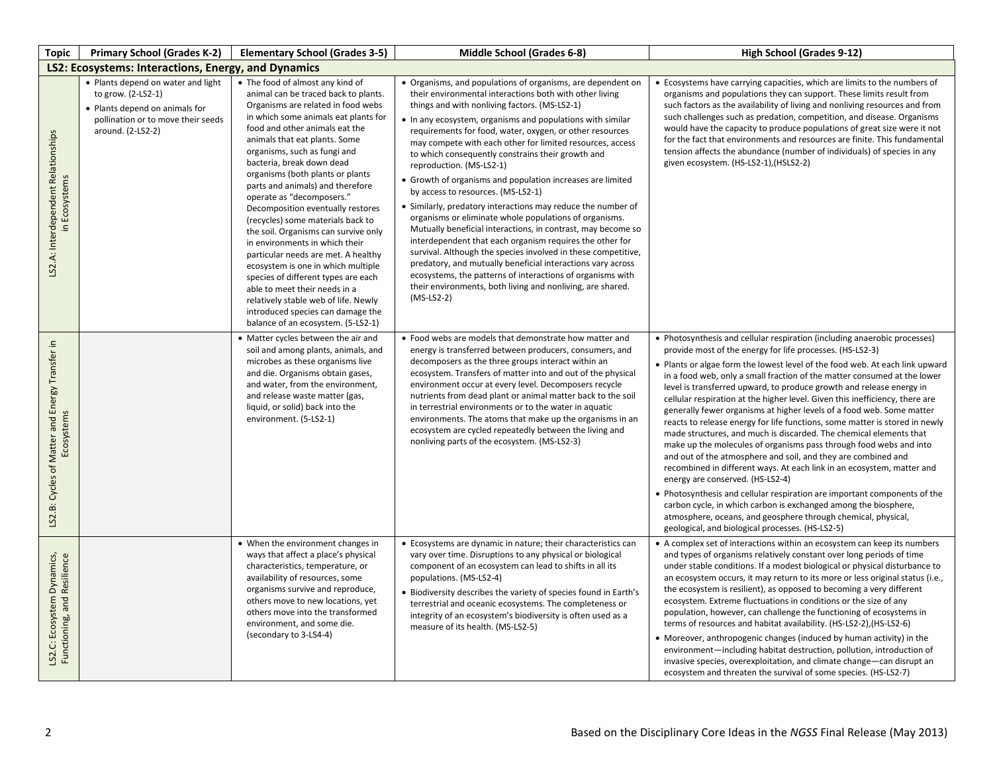| <b>Topic</b>                                                       | <b>Primary School (Grades K-2)</b>                                                                                                                    | <b>Elementary School (Grades 3-5)</b>                                                                                                                                                                                                                                                                                                                                                                                                                                                                                                                                                                                                                                                                                                                                                                                   | Middle School (Grades 6-8)                                                                                                                                                                                                                                                                                                                                                                                                                                                                                                                                                                                                                                                                                                                                                                                                                                                                                                                                                                                                                                                            | <b>High School (Grades 9-12)</b>                                                                                                                                                                                                                                                                                                                                                                                                                                                                                                                                                                                                                                                                                                                                                                                                                                                                                                                                                                                                                                                                                                                                                                                   |
|--------------------------------------------------------------------|-------------------------------------------------------------------------------------------------------------------------------------------------------|-------------------------------------------------------------------------------------------------------------------------------------------------------------------------------------------------------------------------------------------------------------------------------------------------------------------------------------------------------------------------------------------------------------------------------------------------------------------------------------------------------------------------------------------------------------------------------------------------------------------------------------------------------------------------------------------------------------------------------------------------------------------------------------------------------------------------|---------------------------------------------------------------------------------------------------------------------------------------------------------------------------------------------------------------------------------------------------------------------------------------------------------------------------------------------------------------------------------------------------------------------------------------------------------------------------------------------------------------------------------------------------------------------------------------------------------------------------------------------------------------------------------------------------------------------------------------------------------------------------------------------------------------------------------------------------------------------------------------------------------------------------------------------------------------------------------------------------------------------------------------------------------------------------------------|--------------------------------------------------------------------------------------------------------------------------------------------------------------------------------------------------------------------------------------------------------------------------------------------------------------------------------------------------------------------------------------------------------------------------------------------------------------------------------------------------------------------------------------------------------------------------------------------------------------------------------------------------------------------------------------------------------------------------------------------------------------------------------------------------------------------------------------------------------------------------------------------------------------------------------------------------------------------------------------------------------------------------------------------------------------------------------------------------------------------------------------------------------------------------------------------------------------------|
|                                                                    | <b>LS2: Ecosystems: Interactions, Energy, and Dynamics</b>                                                                                            |                                                                                                                                                                                                                                                                                                                                                                                                                                                                                                                                                                                                                                                                                                                                                                                                                         |                                                                                                                                                                                                                                                                                                                                                                                                                                                                                                                                                                                                                                                                                                                                                                                                                                                                                                                                                                                                                                                                                       |                                                                                                                                                                                                                                                                                                                                                                                                                                                                                                                                                                                                                                                                                                                                                                                                                                                                                                                                                                                                                                                                                                                                                                                                                    |
| LS2.A: Interdependent Relationships<br>in Ecosystems               | • Plants depend on water and light<br>to grow. (2-LS2-1)<br>• Plants depend on animals for<br>pollination or to move their seeds<br>around. (2-LS2-2) | • The food of almost any kind of<br>animal can be traced back to plants.<br>Organisms are related in food webs<br>in which some animals eat plants for<br>food and other animals eat the<br>animals that eat plants. Some<br>organisms, such as fungi and<br>bacteria, break down dead<br>organisms (both plants or plants<br>parts and animals) and therefore<br>operate as "decomposers."<br>Decomposition eventually restores<br>(recycles) some materials back to<br>the soil. Organisms can survive only<br>in environments in which their<br>particular needs are met. A healthy<br>ecosystem is one in which multiple<br>species of different types are each<br>able to meet their needs in a<br>relatively stable web of life. Newly<br>introduced species can damage the<br>balance of an ecosystem. (5-LS2-1) | • Organisms, and populations of organisms, are dependent on<br>their environmental interactions both with other living<br>things and with nonliving factors. (MS-LS2-1)<br>. In any ecosystem, organisms and populations with similar<br>requirements for food, water, oxygen, or other resources<br>may compete with each other for limited resources, access<br>to which consequently constrains their growth and<br>reproduction. (MS-LS2-1)<br>• Growth of organisms and population increases are limited<br>by access to resources. (MS-LS2-1)<br>• Similarly, predatory interactions may reduce the number of<br>organisms or eliminate whole populations of organisms.<br>Mutually beneficial interactions, in contrast, may become so<br>interdependent that each organism requires the other for<br>survival. Although the species involved in these competitive,<br>predatory, and mutually beneficial interactions vary across<br>ecosystems, the patterns of interactions of organisms with<br>their environments, both living and nonliving, are shared.<br>$(MS-LS2-2)$ | • Ecosystems have carrying capacities, which are limits to the numbers of<br>organisms and populations they can support. These limits result from<br>such factors as the availability of living and nonliving resources and from<br>such challenges such as predation, competition, and disease. Organisms<br>would have the capacity to produce populations of great size were it not<br>for the fact that environments and resources are finite. This fundamental<br>tension affects the abundance (number of individuals) of species in any<br>given ecosystem. (HS-LS2-1), (HSLS2-2)                                                                                                                                                                                                                                                                                                                                                                                                                                                                                                                                                                                                                           |
| LS2.B: Cycles of Matter and Energy Transfer in<br>Ecosystems       |                                                                                                                                                       | • Matter cycles between the air and<br>soil and among plants, animals, and<br>microbes as these organisms live<br>and die. Organisms obtain gases,<br>and water, from the environment,<br>and release waste matter (gas,<br>liquid, or solid) back into the<br>environment. (5-LS2-1)                                                                                                                                                                                                                                                                                                                                                                                                                                                                                                                                   | • Food webs are models that demonstrate how matter and<br>energy is transferred between producers, consumers, and<br>decomposers as the three groups interact within an<br>ecosystem. Transfers of matter into and out of the physical<br>environment occur at every level. Decomposers recycle<br>nutrients from dead plant or animal matter back to the soil<br>in terrestrial environments or to the water in aquatic<br>environments. The atoms that make up the organisms in an<br>ecosystem are cycled repeatedly between the living and<br>nonliving parts of the ecosystem. (MS-LS2-3)                                                                                                                                                                                                                                                                                                                                                                                                                                                                                        | • Photosynthesis and cellular respiration (including anaerobic processes)<br>provide most of the energy for life processes. (HS-LS2-3)<br>. Plants or algae form the lowest level of the food web. At each link upward<br>in a food web, only a small fraction of the matter consumed at the lower<br>level is transferred upward, to produce growth and release energy in<br>cellular respiration at the higher level. Given this inefficiency, there are<br>generally fewer organisms at higher levels of a food web. Some matter<br>reacts to release energy for life functions, some matter is stored in newly<br>made structures, and much is discarded. The chemical elements that<br>make up the molecules of organisms pass through food webs and into<br>and out of the atmosphere and soil, and they are combined and<br>recombined in different ways. At each link in an ecosystem, matter and<br>energy are conserved. (HS-LS2-4)<br>• Photosynthesis and cellular respiration are important components of the<br>carbon cycle, in which carbon is exchanged among the biosphere,<br>atmosphere, oceans, and geosphere through chemical, physical,<br>geological, and biological processes. (HS-LS2-5) |
| Dynamics,<br>Resilience<br>Ecosystem<br>Functioning, and<br>LS2.C: |                                                                                                                                                       | • When the environment changes in<br>ways that affect a place's physical<br>characteristics, temperature, or<br>availability of resources, some<br>organisms survive and reproduce,<br>others move to new locations, yet<br>others move into the transformed<br>environment, and some die.<br>(secondary to 3-LS4-4)                                                                                                                                                                                                                                                                                                                                                                                                                                                                                                    | • Ecosystems are dynamic in nature; their characteristics can<br>vary over time. Disruptions to any physical or biological<br>component of an ecosystem can lead to shifts in all its<br>populations. (MS-LS2-4)<br>• Biodiversity describes the variety of species found in Earth's<br>terrestrial and oceanic ecosystems. The completeness or<br>integrity of an ecosystem's biodiversity is often used as a<br>measure of its health. (MS-LS2-5)                                                                                                                                                                                                                                                                                                                                                                                                                                                                                                                                                                                                                                   | • A complex set of interactions within an ecosystem can keep its numbers<br>and types of organisms relatively constant over long periods of time<br>under stable conditions. If a modest biological or physical disturbance to<br>an ecosystem occurs, it may return to its more or less original status (i.e.,<br>the ecosystem is resilient), as opposed to becoming a very different<br>ecosystem. Extreme fluctuations in conditions or the size of any<br>population, however, can challenge the functioning of ecosystems in<br>terms of resources and habitat availability. (HS-LS2-2), (HS-LS2-6)<br>• Moreover, anthropogenic changes (induced by human activity) in the<br>environment-including habitat destruction, pollution, introduction of<br>invasive species, overexploitation, and climate change-can disrupt an<br>ecosystem and threaten the survival of some species. (HS-LS2-7)                                                                                                                                                                                                                                                                                                             |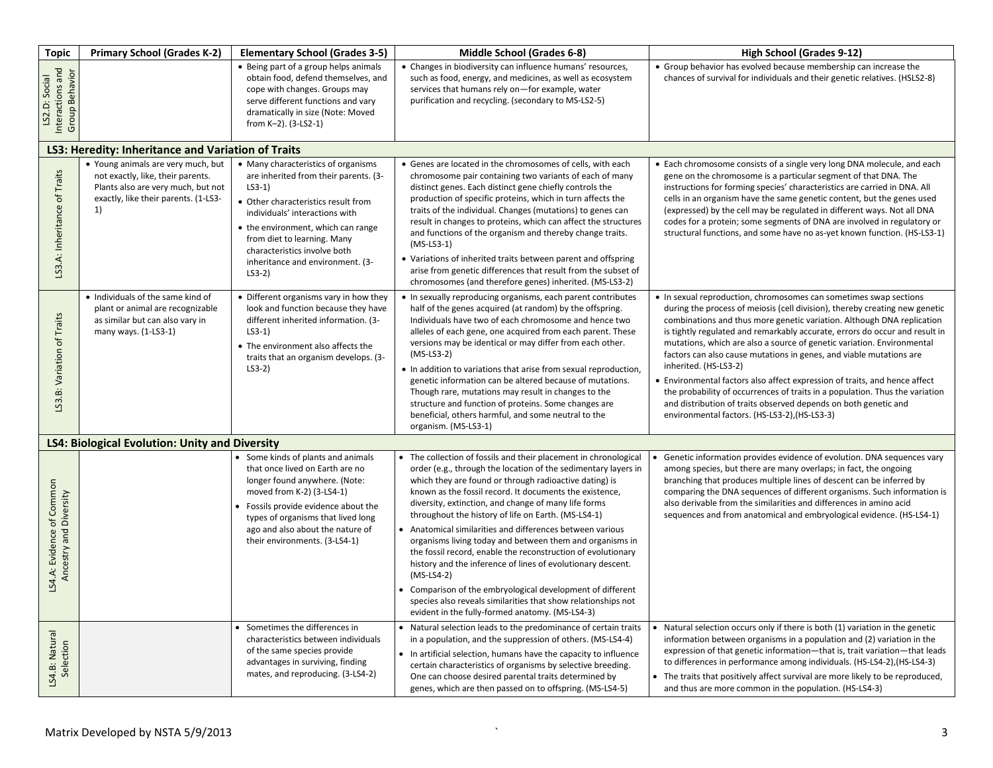| <b>Topic</b>                                           | <b>Primary School (Grades K-2)</b>                                                                                                                          | <b>Elementary School (Grades 3-5)</b>                                                                                                                                                                                                                                                                                  | Middle School (Grades 6-8)                                                                                                                                                                                                                                                                                                                                                                                                                                                                                                                                                                                                                                                                                                                                                                                                       | <b>High School (Grades 9-12)</b>                                                                                                                                                                                                                                                                                                                                                                                                                                                                                                                                                                                                                                                                                                                                      |
|--------------------------------------------------------|-------------------------------------------------------------------------------------------------------------------------------------------------------------|------------------------------------------------------------------------------------------------------------------------------------------------------------------------------------------------------------------------------------------------------------------------------------------------------------------------|----------------------------------------------------------------------------------------------------------------------------------------------------------------------------------------------------------------------------------------------------------------------------------------------------------------------------------------------------------------------------------------------------------------------------------------------------------------------------------------------------------------------------------------------------------------------------------------------------------------------------------------------------------------------------------------------------------------------------------------------------------------------------------------------------------------------------------|-----------------------------------------------------------------------------------------------------------------------------------------------------------------------------------------------------------------------------------------------------------------------------------------------------------------------------------------------------------------------------------------------------------------------------------------------------------------------------------------------------------------------------------------------------------------------------------------------------------------------------------------------------------------------------------------------------------------------------------------------------------------------|
| Interactions and<br>Group Behavior<br>LS2.D: Social    |                                                                                                                                                             | • Being part of a group helps animals<br>obtain food, defend themselves, and<br>cope with changes. Groups may<br>serve different functions and vary<br>dramatically in size (Note: Moved<br>from K-2). (3-LS2-1)                                                                                                       | • Changes in biodiversity can influence humans' resources,<br>such as food, energy, and medicines, as well as ecosystem<br>services that humans rely on-for example, water<br>purification and recycling. (secondary to MS-LS2-5)                                                                                                                                                                                                                                                                                                                                                                                                                                                                                                                                                                                                | • Group behavior has evolved because membership can increase the<br>chances of survival for individuals and their genetic relatives. (HSLS2-8)                                                                                                                                                                                                                                                                                                                                                                                                                                                                                                                                                                                                                        |
|                                                        | <b>LS3: Heredity: Inheritance and Variation of Traits</b>                                                                                                   |                                                                                                                                                                                                                                                                                                                        |                                                                                                                                                                                                                                                                                                                                                                                                                                                                                                                                                                                                                                                                                                                                                                                                                                  |                                                                                                                                                                                                                                                                                                                                                                                                                                                                                                                                                                                                                                                                                                                                                                       |
| LS3.A: Inheritance of Traits                           | • Young animals are very much, but<br>not exactly, like, their parents.<br>Plants also are very much, but not<br>exactly, like their parents. (1-LS3-<br>1) | • Many characteristics of organisms<br>are inherited from their parents. (3-<br>$LS3-1)$<br>• Other characteristics result from<br>individuals' interactions with<br>• the environment, which can range<br>from diet to learning. Many<br>characteristics involve both<br>inheritance and environment. (3-<br>$LS3-2)$ | • Genes are located in the chromosomes of cells, with each<br>chromosome pair containing two variants of each of many<br>distinct genes. Each distinct gene chiefly controls the<br>production of specific proteins, which in turn affects the<br>traits of the individual. Changes (mutations) to genes can<br>result in changes to proteins, which can affect the structures<br>and functions of the organism and thereby change traits.<br>$(MS-LS3-1)$<br>• Variations of inherited traits between parent and offspring<br>arise from genetic differences that result from the subset of<br>chromosomes (and therefore genes) inherited. (MS-LS3-2)                                                                                                                                                                          | • Each chromosome consists of a single very long DNA molecule, and each<br>gene on the chromosome is a particular segment of that DNA. The<br>instructions for forming species' characteristics are carried in DNA. All<br>cells in an organism have the same genetic content, but the genes used<br>(expressed) by the cell may be regulated in different ways. Not all DNA<br>codes for a protein; some segments of DNA are involved in regulatory or<br>structural functions, and some have no as-yet known function. (HS-LS3-1)                                                                                                                                                                                                                                   |
| LS3.B: Variation of Traits                             | • Individuals of the same kind of<br>plant or animal are recognizable<br>as similar but can also vary in<br>many ways. (1-LS3-1)                            | • Different organisms vary in how they<br>look and function because they have<br>different inherited information. (3-<br>$LS3-1)$<br>• The environment also affects the<br>traits that an organism develops. (3-<br>$LS3-2)$                                                                                           | • In sexually reproducing organisms, each parent contributes<br>half of the genes acquired (at random) by the offspring.<br>Individuals have two of each chromosome and hence two<br>alleles of each gene, one acquired from each parent. These<br>versions may be identical or may differ from each other.<br>$(MS-LS3-2)$<br>. In addition to variations that arise from sexual reproduction,<br>genetic information can be altered because of mutations.<br>Though rare, mutations may result in changes to the<br>structure and function of proteins. Some changes are<br>beneficial, others harmful, and some neutral to the<br>organism. (MS-LS3-1)                                                                                                                                                                        | • In sexual reproduction, chromosomes can sometimes swap sections<br>during the process of meiosis (cell division), thereby creating new genetic<br>combinations and thus more genetic variation. Although DNA replication<br>is tightly regulated and remarkably accurate, errors do occur and result in<br>mutations, which are also a source of genetic variation. Environmental<br>factors can also cause mutations in genes, and viable mutations are<br>inherited. (HS-LS3-2)<br>• Environmental factors also affect expression of traits, and hence affect<br>the probability of occurrences of traits in a population. Thus the variation<br>and distribution of traits observed depends on both genetic and<br>environmental factors. (HS-LS3-2), (HS-LS3-3) |
|                                                        | LS4: Biological Evolution: Unity and Diversity                                                                                                              |                                                                                                                                                                                                                                                                                                                        |                                                                                                                                                                                                                                                                                                                                                                                                                                                                                                                                                                                                                                                                                                                                                                                                                                  |                                                                                                                                                                                                                                                                                                                                                                                                                                                                                                                                                                                                                                                                                                                                                                       |
| of Common<br>Ancestry and Diversity<br>LS4.A: Evidence |                                                                                                                                                             | Some kinds of plants and animals<br>that once lived on Earth are no<br>longer found anywhere. (Note:<br>moved from K-2) (3-LS4-1)<br>Fossils provide evidence about the<br>types of organisms that lived long<br>ago and also about the nature of<br>their environments. (3-LS4-1)                                     | • The collection of fossils and their placement in chronological<br>order (e.g., through the location of the sedimentary layers in<br>which they are found or through radioactive dating) is<br>known as the fossil record. It documents the existence,<br>diversity, extinction, and change of many life forms<br>throughout the history of life on Earth. (MS-LS4-1)<br>• Anatomical similarities and differences between various<br>organisms living today and between them and organisms in<br>the fossil record, enable the reconstruction of evolutionary<br>history and the inference of lines of evolutionary descent.<br>$(MS-LS4-2)$<br>• Comparison of the embryological development of different<br>species also reveals similarities that show relationships not<br>evident in the fully-formed anatomy. (MS-LS4-3) | Genetic information provides evidence of evolution. DNA sequences vary<br>among species, but there are many overlaps; in fact, the ongoing<br>branching that produces multiple lines of descent can be inferred by<br>comparing the DNA sequences of different organisms. Such information is<br>also derivable from the similarities and differences in amino acid<br>sequences and from anatomical and embryological evidence. (HS-LS4-1)                                                                                                                                                                                                                                                                                                                           |
| LS4.B: Natural<br>Selection                            |                                                                                                                                                             | Sometimes the differences in<br>characteristics between individuals<br>of the same species provide<br>advantages in surviving, finding<br>mates, and reproducing. (3-LS4-2)                                                                                                                                            | Natural selection leads to the predominance of certain traits<br>in a population, and the suppression of others. (MS-LS4-4)<br>• In artificial selection, humans have the capacity to influence<br>certain characteristics of organisms by selective breeding.<br>One can choose desired parental traits determined by<br>genes, which are then passed on to offspring. (MS-LS4-5)                                                                                                                                                                                                                                                                                                                                                                                                                                               | Natural selection occurs only if there is both (1) variation in the genetic<br>information between organisms in a population and (2) variation in the<br>expression of that genetic information—that is, trait variation—that leads<br>to differences in performance among individuals. (HS-LS4-2), (HS-LS4-3)<br>• The traits that positively affect survival are more likely to be reproduced,<br>and thus are more common in the population. (HS-LS4-3)                                                                                                                                                                                                                                                                                                            |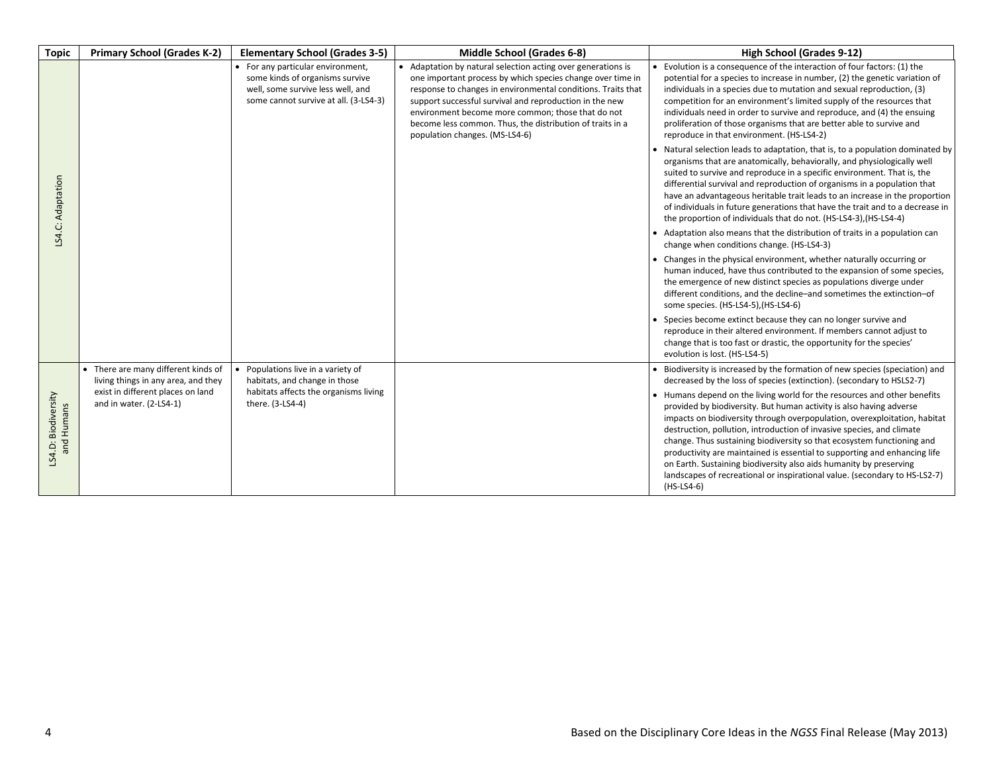| <b>Topic</b>                         | <b>Primary School (Grades K-2)</b>                                         | <b>Elementary School (Grades 3-5)</b>                                                                                                              | Middle School (Grades 6-8)                                                                                                                                                                                                                                                                                                                                                                                | High School (Grades 9-12)                                                                                                                                                                                                                                                                                                                                                                                                                                                                                                                                                                                                        |
|--------------------------------------|----------------------------------------------------------------------------|----------------------------------------------------------------------------------------------------------------------------------------------------|-----------------------------------------------------------------------------------------------------------------------------------------------------------------------------------------------------------------------------------------------------------------------------------------------------------------------------------------------------------------------------------------------------------|----------------------------------------------------------------------------------------------------------------------------------------------------------------------------------------------------------------------------------------------------------------------------------------------------------------------------------------------------------------------------------------------------------------------------------------------------------------------------------------------------------------------------------------------------------------------------------------------------------------------------------|
|                                      |                                                                            | • For any particular environment,<br>some kinds of organisms survive<br>well, some survive less well, and<br>some cannot survive at all. (3-LS4-3) | • Adaptation by natural selection acting over generations is<br>one important process by which species change over time in<br>response to changes in environmental conditions. Traits that<br>support successful survival and reproduction in the new<br>environment become more common; those that do not<br>become less common. Thus, the distribution of traits in a<br>population changes. (MS-LS4-6) | • Evolution is a consequence of the interaction of four factors: (1) the<br>potential for a species to increase in number, (2) the genetic variation of<br>individuals in a species due to mutation and sexual reproduction, (3)<br>competition for an environment's limited supply of the resources that<br>individuals need in order to survive and reproduce, and (4) the ensuing<br>proliferation of those organisms that are better able to survive and<br>reproduce in that environment. (HS-LS4-2)                                                                                                                        |
| LS4.C: Adaptation                    |                                                                            |                                                                                                                                                    |                                                                                                                                                                                                                                                                                                                                                                                                           | • Natural selection leads to adaptation, that is, to a population dominated by<br>organisms that are anatomically, behaviorally, and physiologically well<br>suited to survive and reproduce in a specific environment. That is, the<br>differential survival and reproduction of organisms in a population that<br>have an advantageous heritable trait leads to an increase in the proportion<br>of individuals in future generations that have the trait and to a decrease in<br>the proportion of individuals that do not. (HS-LS4-3), (HS-LS4-4)                                                                            |
|                                      |                                                                            |                                                                                                                                                    |                                                                                                                                                                                                                                                                                                                                                                                                           | • Adaptation also means that the distribution of traits in a population can<br>change when conditions change. (HS-LS4-3)                                                                                                                                                                                                                                                                                                                                                                                                                                                                                                         |
|                                      |                                                                            |                                                                                                                                                    |                                                                                                                                                                                                                                                                                                                                                                                                           | • Changes in the physical environment, whether naturally occurring or<br>human induced, have thus contributed to the expansion of some species,<br>the emergence of new distinct species as populations diverge under<br>different conditions, and the decline-and sometimes the extinction-of<br>some species. (HS-LS4-5), (HS-LS4-6)                                                                                                                                                                                                                                                                                           |
|                                      |                                                                            |                                                                                                                                                    |                                                                                                                                                                                                                                                                                                                                                                                                           | • Species become extinct because they can no longer survive and<br>reproduce in their altered environment. If members cannot adjust to<br>change that is too fast or drastic, the opportunity for the species'<br>evolution is lost. (HS-LS4-5)                                                                                                                                                                                                                                                                                                                                                                                  |
|                                      | • There are many different kinds of<br>living things in any area, and they | • Populations live in a variety of<br>habitats, and change in those                                                                                |                                                                                                                                                                                                                                                                                                                                                                                                           | • Biodiversity is increased by the formation of new species (speciation) and<br>decreased by the loss of species (extinction). (secondary to HSLS2-7)                                                                                                                                                                                                                                                                                                                                                                                                                                                                            |
| Biodiversity<br>and Humans<br>LS4.D: | exist in different places on land<br>and in water. (2-LS4-1)               | habitats affects the organisms living<br>there. (3-LS4-4)                                                                                          |                                                                                                                                                                                                                                                                                                                                                                                                           | • Humans depend on the living world for the resources and other benefits<br>provided by biodiversity. But human activity is also having adverse<br>impacts on biodiversity through overpopulation, overexploitation, habitat<br>destruction, pollution, introduction of invasive species, and climate<br>change. Thus sustaining biodiversity so that ecosystem functioning and<br>productivity are maintained is essential to supporting and enhancing life<br>on Earth. Sustaining biodiversity also aids humanity by preserving<br>landscapes of recreational or inspirational value. (secondary to HS-LS2-7)<br>$(HS-LS4-6)$ |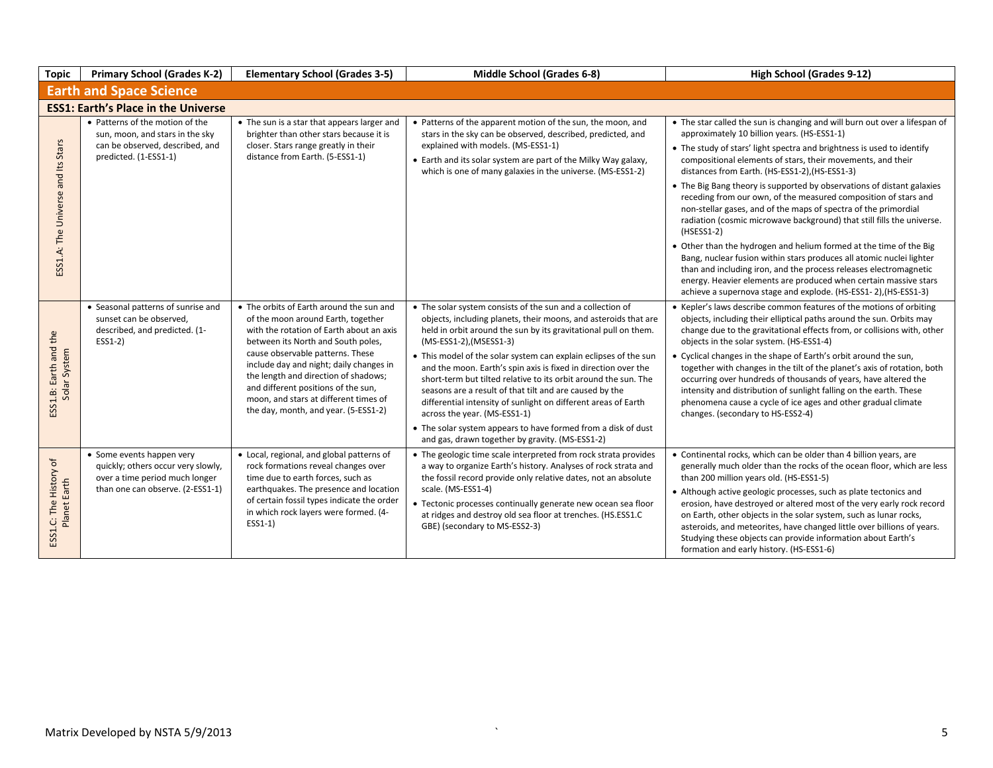| <b>Topic</b>                              | <b>Primary School (Grades K-2)</b>                                                                                                    | <b>Elementary School (Grades 3-5)</b>                                                                                                                                                                                                                                                                                                                                                                           | Middle School (Grades 6-8)                                                                                                                                                                                                                                                                                                                                                                                                                                                                                                                                                                                                                                                                                            | <b>High School (Grades 9-12)</b>                                                                                                                                                                                                                                                                                                                                                                                                                                                                                                                                                                                                                                                                                                                                                                                                                                                                                                                                                         |
|-------------------------------------------|---------------------------------------------------------------------------------------------------------------------------------------|-----------------------------------------------------------------------------------------------------------------------------------------------------------------------------------------------------------------------------------------------------------------------------------------------------------------------------------------------------------------------------------------------------------------|-----------------------------------------------------------------------------------------------------------------------------------------------------------------------------------------------------------------------------------------------------------------------------------------------------------------------------------------------------------------------------------------------------------------------------------------------------------------------------------------------------------------------------------------------------------------------------------------------------------------------------------------------------------------------------------------------------------------------|------------------------------------------------------------------------------------------------------------------------------------------------------------------------------------------------------------------------------------------------------------------------------------------------------------------------------------------------------------------------------------------------------------------------------------------------------------------------------------------------------------------------------------------------------------------------------------------------------------------------------------------------------------------------------------------------------------------------------------------------------------------------------------------------------------------------------------------------------------------------------------------------------------------------------------------------------------------------------------------|
|                                           | <b>Earth and Space Science</b>                                                                                                        |                                                                                                                                                                                                                                                                                                                                                                                                                 |                                                                                                                                                                                                                                                                                                                                                                                                                                                                                                                                                                                                                                                                                                                       |                                                                                                                                                                                                                                                                                                                                                                                                                                                                                                                                                                                                                                                                                                                                                                                                                                                                                                                                                                                          |
|                                           | <b>ESS1: Earth's Place in the Universe</b>                                                                                            |                                                                                                                                                                                                                                                                                                                                                                                                                 |                                                                                                                                                                                                                                                                                                                                                                                                                                                                                                                                                                                                                                                                                                                       |                                                                                                                                                                                                                                                                                                                                                                                                                                                                                                                                                                                                                                                                                                                                                                                                                                                                                                                                                                                          |
| ESS1.A: The Universe and Its Stars        | • Patterns of the motion of the<br>sun, moon, and stars in the sky<br>can be observed, described, and<br>predicted. (1-ESS1-1)        | • The sun is a star that appears larger and<br>brighter than other stars because it is<br>closer. Stars range greatly in their<br>distance from Earth. (5-ESS1-1)                                                                                                                                                                                                                                               | • Patterns of the apparent motion of the sun, the moon, and<br>stars in the sky can be observed, described, predicted, and<br>explained with models. (MS-ESS1-1)<br>• Earth and its solar system are part of the Milky Way galaxy,<br>which is one of many galaxies in the universe. (MS-ESS1-2)                                                                                                                                                                                                                                                                                                                                                                                                                      | • The star called the sun is changing and will burn out over a lifespan of<br>approximately 10 billion years. (HS-ESS1-1)<br>• The study of stars' light spectra and brightness is used to identify<br>compositional elements of stars, their movements, and their<br>distances from Earth. (HS-ESS1-2), (HS-ESS1-3)<br>• The Big Bang theory is supported by observations of distant galaxies<br>receding from our own, of the measured composition of stars and<br>non-stellar gases, and of the maps of spectra of the primordial<br>radiation (cosmic microwave background) that still fills the universe.<br>$(HSESS1-2)$<br>• Other than the hydrogen and helium formed at the time of the Big<br>Bang, nuclear fusion within stars produces all atomic nuclei lighter<br>than and including iron, and the process releases electromagnetic<br>energy. Heavier elements are produced when certain massive stars<br>achieve a supernova stage and explode. (HS-ESS1-2), (HS-ESS1-3) |
| ESS1.B: Earth and the<br>System<br>Solar  | • Seasonal patterns of sunrise and<br>sunset can be observed,<br>described, and predicted. (1-<br>ESS1-2)                             | • The orbits of Earth around the sun and<br>of the moon around Earth, together<br>with the rotation of Earth about an axis<br>between its North and South poles,<br>cause observable patterns. These<br>include day and night; daily changes in<br>the length and direction of shadows;<br>and different positions of the sun,<br>moon, and stars at different times of<br>the day, month, and year. (5-ESS1-2) | • The solar system consists of the sun and a collection of<br>objects, including planets, their moons, and asteroids that are<br>held in orbit around the sun by its gravitational pull on them.<br>(MS-ESS1-2), (MSESS1-3)<br>• This model of the solar system can explain eclipses of the sun<br>and the moon. Earth's spin axis is fixed in direction over the<br>short-term but tilted relative to its orbit around the sun. The<br>seasons are a result of that tilt and are caused by the<br>differential intensity of sunlight on different areas of Earth<br>across the year. (MS-ESS1-1)<br>• The solar system appears to have formed from a disk of dust<br>and gas, drawn together by gravity. (MS-ESS1-2) | • Kepler's laws describe common features of the motions of orbiting<br>objects, including their elliptical paths around the sun. Orbits may<br>change due to the gravitational effects from, or collisions with, other<br>objects in the solar system. (HS-ESS1-4)<br>• Cyclical changes in the shape of Earth's orbit around the sun,<br>together with changes in the tilt of the planet's axis of rotation, both<br>occurring over hundreds of thousands of years, have altered the<br>intensity and distribution of sunlight falling on the earth. These<br>phenomena cause a cycle of ice ages and other gradual climate<br>changes. (secondary to HS-ESS2-4)                                                                                                                                                                                                                                                                                                                        |
| ESS1.C: The History of<br>Earth<br>Planet | • Some events happen very<br>quickly; others occur very slowly,<br>over a time period much longer<br>than one can observe. (2-ESS1-1) | • Local, regional, and global patterns of<br>rock formations reveal changes over<br>time due to earth forces, such as<br>earthquakes. The presence and location<br>of certain fossil types indicate the order<br>in which rock layers were formed. (4-<br>ESS1-1)                                                                                                                                               | • The geologic time scale interpreted from rock strata provides<br>a way to organize Earth's history. Analyses of rock strata and<br>the fossil record provide only relative dates, not an absolute<br>scale. (MS-ESS1-4)<br>• Tectonic processes continually generate new ocean sea floor<br>at ridges and destroy old sea floor at trenches. (HS.ESS1.C<br>GBE) (secondary to MS-ESS2-3)                                                                                                                                                                                                                                                                                                                            | • Continental rocks, which can be older than 4 billion years, are<br>generally much older than the rocks of the ocean floor, which are less<br>than 200 million years old. (HS-ESS1-5)<br>• Although active geologic processes, such as plate tectonics and<br>erosion, have destroyed or altered most of the very early rock record<br>on Earth, other objects in the solar system, such as lunar rocks,<br>asteroids, and meteorites, have changed little over billions of years.<br>Studying these objects can provide information about Earth's<br>formation and early history. (HS-ESS1-6)                                                                                                                                                                                                                                                                                                                                                                                          |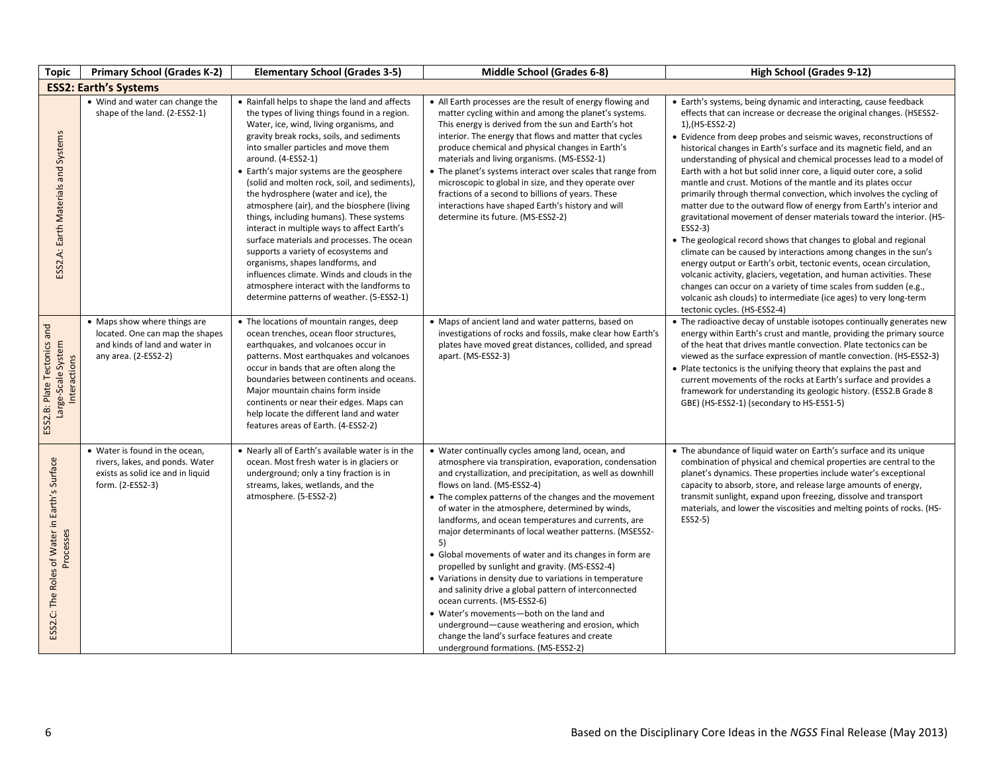| <b>Topic</b>                                                      | <b>Primary School (Grades K-2)</b>                                                                                         | <b>Elementary School (Grades 3-5)</b>                                                                                                                                                                                                                                                                                                                                                                                                                                                                                                                                                                                                                                                                                                                                                                    | Middle School (Grades 6-8)                                                                                                                                                                                                                                                                                                                                                                                                                                                                                                                                                                                                                                                                                                                                                                                                                                                                             | High School (Grades 9-12)                                                                                                                                                                                                                                                                                                                                                                                                                                                                                                                                                                                                                                                                                                                                                                                                                                                                                                                                                                                                                                                                                                                                                                                              |
|-------------------------------------------------------------------|----------------------------------------------------------------------------------------------------------------------------|----------------------------------------------------------------------------------------------------------------------------------------------------------------------------------------------------------------------------------------------------------------------------------------------------------------------------------------------------------------------------------------------------------------------------------------------------------------------------------------------------------------------------------------------------------------------------------------------------------------------------------------------------------------------------------------------------------------------------------------------------------------------------------------------------------|--------------------------------------------------------------------------------------------------------------------------------------------------------------------------------------------------------------------------------------------------------------------------------------------------------------------------------------------------------------------------------------------------------------------------------------------------------------------------------------------------------------------------------------------------------------------------------------------------------------------------------------------------------------------------------------------------------------------------------------------------------------------------------------------------------------------------------------------------------------------------------------------------------|------------------------------------------------------------------------------------------------------------------------------------------------------------------------------------------------------------------------------------------------------------------------------------------------------------------------------------------------------------------------------------------------------------------------------------------------------------------------------------------------------------------------------------------------------------------------------------------------------------------------------------------------------------------------------------------------------------------------------------------------------------------------------------------------------------------------------------------------------------------------------------------------------------------------------------------------------------------------------------------------------------------------------------------------------------------------------------------------------------------------------------------------------------------------------------------------------------------------|
|                                                                   | <b>ESS2: Earth's Systems</b>                                                                                               |                                                                                                                                                                                                                                                                                                                                                                                                                                                                                                                                                                                                                                                                                                                                                                                                          |                                                                                                                                                                                                                                                                                                                                                                                                                                                                                                                                                                                                                                                                                                                                                                                                                                                                                                        |                                                                                                                                                                                                                                                                                                                                                                                                                                                                                                                                                                                                                                                                                                                                                                                                                                                                                                                                                                                                                                                                                                                                                                                                                        |
| ESS2.A: Earth Materials and Systems                               | • Wind and water can change the<br>shape of the land. (2-ESS2-1)                                                           | • Rainfall helps to shape the land and affects<br>the types of living things found in a region.<br>Water, ice, wind, living organisms, and<br>gravity break rocks, soils, and sediments<br>into smaller particles and move them<br>around. (4-ESS2-1)<br>• Earth's major systems are the geosphere<br>(solid and molten rock, soil, and sediments),<br>the hydrosphere (water and ice), the<br>atmosphere (air), and the biosphere (living<br>things, including humans). These systems<br>interact in multiple ways to affect Earth's<br>surface materials and processes. The ocean<br>supports a variety of ecosystems and<br>organisms, shapes landforms, and<br>influences climate. Winds and clouds in the<br>atmosphere interact with the landforms to<br>determine patterns of weather. (5-ESS2-1) | • All Earth processes are the result of energy flowing and<br>matter cycling within and among the planet's systems.<br>This energy is derived from the sun and Earth's hot<br>interior. The energy that flows and matter that cycles<br>produce chemical and physical changes in Earth's<br>materials and living organisms. (MS-ESS2-1)<br>• The planet's systems interact over scales that range from<br>microscopic to global in size, and they operate over<br>fractions of a second to billions of years. These<br>interactions have shaped Earth's history and will<br>determine its future. (MS-ESS2-2)                                                                                                                                                                                                                                                                                          | • Earth's systems, being dynamic and interacting, cause feedback<br>effects that can increase or decrease the original changes. (HSESS2-<br>1),(HS-ESS2-2)<br>• Evidence from deep probes and seismic waves, reconstructions of<br>historical changes in Earth's surface and its magnetic field, and an<br>understanding of physical and chemical processes lead to a model of<br>Earth with a hot but solid inner core, a liquid outer core, a solid<br>mantle and crust. Motions of the mantle and its plates occur<br>primarily through thermal convection, which involves the cycling of<br>matter due to the outward flow of energy from Earth's interior and<br>gravitational movement of denser materials toward the interior. (HS-<br>ESS2-3)<br>• The geological record shows that changes to global and regional<br>climate can be caused by interactions among changes in the sun's<br>energy output or Earth's orbit, tectonic events, ocean circulation,<br>volcanic activity, glaciers, vegetation, and human activities. These<br>changes can occur on a variety of time scales from sudden (e.g.,<br>volcanic ash clouds) to intermediate (ice ages) to very long-term<br>tectonic cycles. (HS-ESS2-4) |
| ESS2.B: Plate Tectonics and<br>Large-Scale System<br>Interactions | • Maps show where things are<br>located. One can map the shapes<br>and kinds of land and water in<br>any area. (2-ESS2-2)  | • The locations of mountain ranges, deep<br>ocean trenches, ocean floor structures,<br>earthquakes, and volcanoes occur in<br>patterns. Most earthquakes and volcanoes<br>occur in bands that are often along the<br>boundaries between continents and oceans.<br>Major mountain chains form inside<br>continents or near their edges. Maps can<br>help locate the different land and water<br>features areas of Earth. (4-ESS2-2)                                                                                                                                                                                                                                                                                                                                                                       | • Maps of ancient land and water patterns, based on<br>investigations of rocks and fossils, make clear how Earth's<br>plates have moved great distances, collided, and spread<br>apart. (MS-ESS2-3)                                                                                                                                                                                                                                                                                                                                                                                                                                                                                                                                                                                                                                                                                                    | • The radioactive decay of unstable isotopes continually generates new<br>energy within Earth's crust and mantle, providing the primary source<br>of the heat that drives mantle convection. Plate tectonics can be<br>viewed as the surface expression of mantle convection. (HS-ESS2-3)<br>• Plate tectonics is the unifying theory that explains the past and<br>current movements of the rocks at Earth's surface and provides a<br>framework for understanding its geologic history. (ESS2.B Grade 8<br>GBE) (HS-ESS2-1) (secondary to HS-ESS1-5)                                                                                                                                                                                                                                                                                                                                                                                                                                                                                                                                                                                                                                                                 |
| ESS2.C: The Roles of Water in Earth's Surface<br>Processes        | • Water is found in the ocean,<br>rivers, lakes, and ponds. Water<br>exists as solid ice and in liquid<br>form. (2-ESS2-3) | . Nearly all of Earth's available water is in the<br>ocean. Most fresh water is in glaciers or<br>underground; only a tiny fraction is in<br>streams, lakes, wetlands, and the<br>atmosphere. (5-ESS2-2)                                                                                                                                                                                                                                                                                                                                                                                                                                                                                                                                                                                                 | • Water continually cycles among land, ocean, and<br>atmosphere via transpiration, evaporation, condensation<br>and crystallization, and precipitation, as well as downhill<br>flows on land. (MS-ESS2-4)<br>• The complex patterns of the changes and the movement<br>of water in the atmosphere, determined by winds,<br>landforms, and ocean temperatures and currents, are<br>major determinants of local weather patterns. (MSESS2-<br>5)<br>• Global movements of water and its changes in form are<br>propelled by sunlight and gravity. (MS-ESS2-4)<br>• Variations in density due to variations in temperature<br>and salinity drive a global pattern of interconnected<br>ocean currents. (MS-ESS2-6)<br>• Water's movements-both on the land and<br>underground-cause weathering and erosion, which<br>change the land's surface features and create<br>underground formations. (MS-ESS2-2) | • The abundance of liquid water on Earth's surface and its unique<br>combination of physical and chemical properties are central to the<br>planet's dynamics. These properties include water's exceptional<br>capacity to absorb, store, and release large amounts of energy,<br>transmit sunlight, expand upon freezing, dissolve and transport<br>materials, and lower the viscosities and melting points of rocks. (HS-<br>ESS2-5)                                                                                                                                                                                                                                                                                                                                                                                                                                                                                                                                                                                                                                                                                                                                                                                  |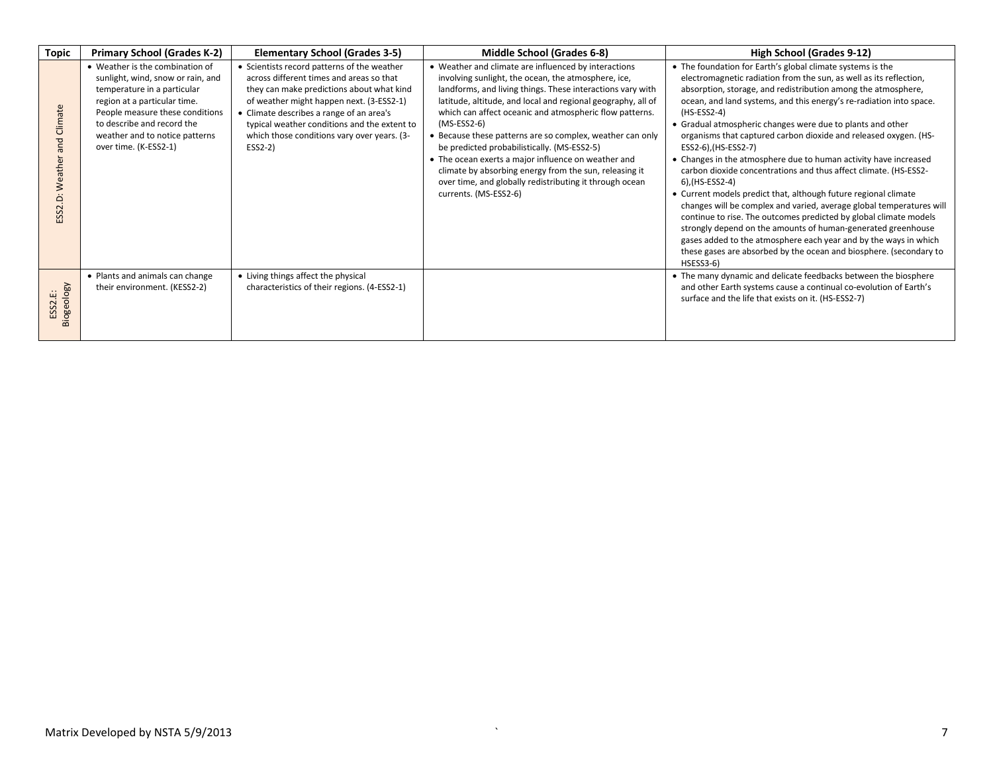| <b>Topic</b>                         | <b>Primary School (Grades K-2)</b>                                                                                                                                                                                                                              | <b>Elementary School (Grades 3-5)</b>                                                                                                                                                                                                                                                                                                  | Middle School (Grades 6-8)                                                                                                                                                                                                                                                                                                                                                                                                                                                                                                                                                                                                             | High School (Grades 9-12)                                                                                                                                                                                                                                                                                                                                                                                                                                                                                                                                                                                                                                                                                                                                                                                                                                                                                                                                                                                                                           |
|--------------------------------------|-----------------------------------------------------------------------------------------------------------------------------------------------------------------------------------------------------------------------------------------------------------------|----------------------------------------------------------------------------------------------------------------------------------------------------------------------------------------------------------------------------------------------------------------------------------------------------------------------------------------|----------------------------------------------------------------------------------------------------------------------------------------------------------------------------------------------------------------------------------------------------------------------------------------------------------------------------------------------------------------------------------------------------------------------------------------------------------------------------------------------------------------------------------------------------------------------------------------------------------------------------------------|-----------------------------------------------------------------------------------------------------------------------------------------------------------------------------------------------------------------------------------------------------------------------------------------------------------------------------------------------------------------------------------------------------------------------------------------------------------------------------------------------------------------------------------------------------------------------------------------------------------------------------------------------------------------------------------------------------------------------------------------------------------------------------------------------------------------------------------------------------------------------------------------------------------------------------------------------------------------------------------------------------------------------------------------------------|
| Climate<br>and<br>Weather<br>ESS2.D: | • Weather is the combination of<br>sunlight, wind, snow or rain, and<br>temperature in a particular<br>region at a particular time.<br>People measure these conditions<br>to describe and record the<br>weather and to notice patterns<br>over time. (K-ESS2-1) | • Scientists record patterns of the weather<br>across different times and areas so that<br>they can make predictions about what kind<br>of weather might happen next. (3-ESS2-1)<br>• Climate describes a range of an area's<br>typical weather conditions and the extent to<br>which those conditions vary over years. (3-<br>ESS2-2) | • Weather and climate are influenced by interactions<br>involving sunlight, the ocean, the atmosphere, ice,<br>landforms, and living things. These interactions vary with<br>latitude, altitude, and local and regional geography, all of<br>which can affect oceanic and atmospheric flow patterns.<br>$(MS-ESS2-6)$<br>• Because these patterns are so complex, weather can only<br>be predicted probabilistically. (MS-ESS2-5)<br>• The ocean exerts a major influence on weather and<br>climate by absorbing energy from the sun, releasing it<br>over time, and globally redistributing it through ocean<br>currents. (MS-ESS2-6) | • The foundation for Earth's global climate systems is the<br>electromagnetic radiation from the sun, as well as its reflection,<br>absorption, storage, and redistribution among the atmosphere,<br>ocean, and land systems, and this energy's re-radiation into space.<br>$(HS-ESS2-4)$<br>• Gradual atmospheric changes were due to plants and other<br>organisms that captured carbon dioxide and released oxygen. (HS-<br>ESS2-6),(HS-ESS2-7)<br>• Changes in the atmosphere due to human activity have increased<br>carbon dioxide concentrations and thus affect climate. (HS-ESS2-<br>6),(HS-ESS2-4)<br>• Current models predict that, although future regional climate<br>changes will be complex and varied, average global temperatures will<br>continue to rise. The outcomes predicted by global climate models<br>strongly depend on the amounts of human-generated greenhouse<br>gases added to the atmosphere each year and by the ways in which<br>these gases are absorbed by the ocean and biosphere. (secondary to<br>HSESS3-6) |
| Biogeology<br>نٍ<br>ESS <sub>2</sub> | • Plants and animals can change<br>their environment. (KESS2-2)                                                                                                                                                                                                 | • Living things affect the physical<br>characteristics of their regions. (4-ESS2-1)                                                                                                                                                                                                                                                    |                                                                                                                                                                                                                                                                                                                                                                                                                                                                                                                                                                                                                                        | • The many dynamic and delicate feedbacks between the biosphere<br>and other Earth systems cause a continual co-evolution of Earth's<br>surface and the life that exists on it. (HS-ESS2-7)                                                                                                                                                                                                                                                                                                                                                                                                                                                                                                                                                                                                                                                                                                                                                                                                                                                         |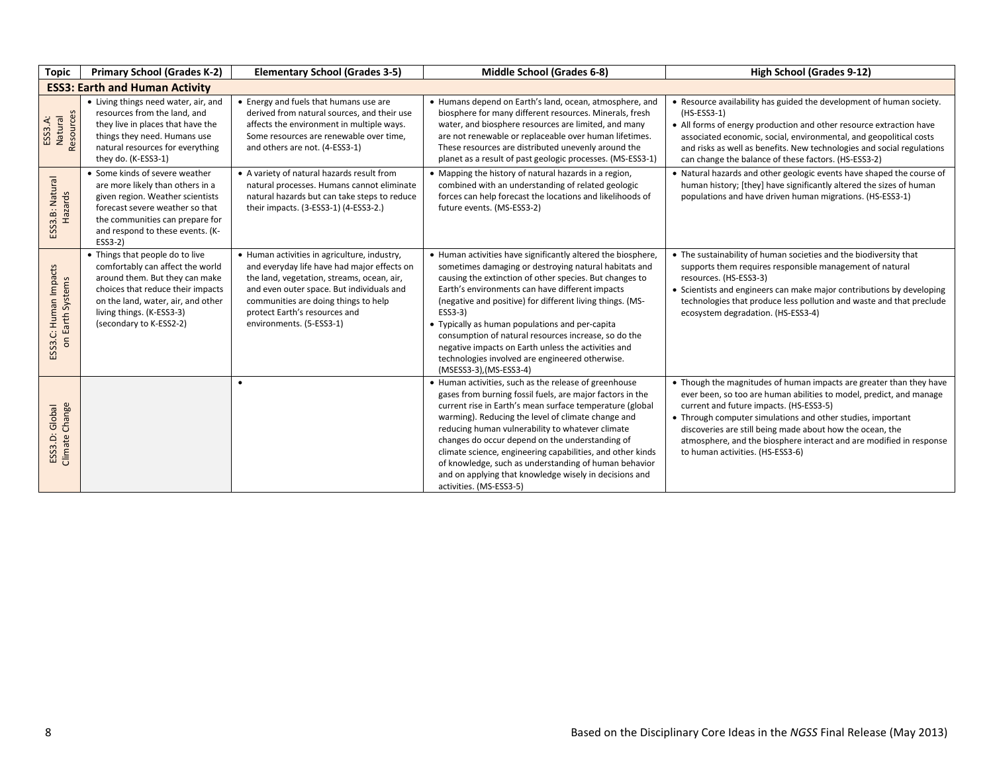| <b>Topic</b>                                               | <b>Primary School (Grades K-2)</b>                                                                                                                                                                                                       | <b>Elementary School (Grades 3-5)</b>                                                                                                                                                                                                                                                       | Middle School (Grades 6-8)                                                                                                                                                                                                                                                                                                                                                                                                                                                                                                                                  | <b>High School (Grades 9-12)</b>                                                                                                                                                                                                                                                                                                                                                                                             |
|------------------------------------------------------------|------------------------------------------------------------------------------------------------------------------------------------------------------------------------------------------------------------------------------------------|---------------------------------------------------------------------------------------------------------------------------------------------------------------------------------------------------------------------------------------------------------------------------------------------|-------------------------------------------------------------------------------------------------------------------------------------------------------------------------------------------------------------------------------------------------------------------------------------------------------------------------------------------------------------------------------------------------------------------------------------------------------------------------------------------------------------------------------------------------------------|------------------------------------------------------------------------------------------------------------------------------------------------------------------------------------------------------------------------------------------------------------------------------------------------------------------------------------------------------------------------------------------------------------------------------|
|                                                            | <b>ESS3: Earth and Human Activity</b>                                                                                                                                                                                                    |                                                                                                                                                                                                                                                                                             |                                                                                                                                                                                                                                                                                                                                                                                                                                                                                                                                                             |                                                                                                                                                                                                                                                                                                                                                                                                                              |
| Natural<br>Resources<br>ESS3.A:                            | • Living things need water, air, and<br>resources from the land, and<br>they live in places that have the<br>things they need. Humans use<br>natural resources for everything<br>they do. (K-ESS3-1)                                     | • Energy and fuels that humans use are<br>derived from natural sources, and their use<br>affects the environment in multiple ways.<br>Some resources are renewable over time,<br>and others are not. (4-ESS3-1)                                                                             | • Humans depend on Earth's land, ocean, atmosphere, and<br>biosphere for many different resources. Minerals, fresh<br>water, and biosphere resources are limited, and many<br>are not renewable or replaceable over human lifetimes.<br>These resources are distributed unevenly around the<br>planet as a result of past geologic processes. (MS-ESS3-1)                                                                                                                                                                                                   | . Resource availability has guided the development of human society.<br>$(HS-ESS3-1)$<br>• All forms of energy production and other resource extraction have<br>associated economic, social, environmental, and geopolitical costs<br>and risks as well as benefits. New technologies and social regulations<br>can change the balance of these factors. (HS-ESS3-2)                                                         |
| ESS3.B: Natural<br>Hazards                                 | • Some kinds of severe weather<br>are more likely than others in a<br>given region. Weather scientists<br>forecast severe weather so that<br>the communities can prepare for<br>and respond to these events. (K-<br>ESS3-2)              | • A variety of natural hazards result from<br>natural processes. Humans cannot eliminate<br>natural hazards but can take steps to reduce<br>their impacts. (3-ESS3-1) (4-ESS3-2.)                                                                                                           | • Mapping the history of natural hazards in a region,<br>combined with an understanding of related geologic<br>forces can help forecast the locations and likelihoods of<br>future events. (MS-ESS3-2)                                                                                                                                                                                                                                                                                                                                                      | • Natural hazards and other geologic events have shaped the course of<br>human history; [they] have significantly altered the sizes of human<br>populations and have driven human migrations. (HS-ESS3-1)                                                                                                                                                                                                                    |
| ESS3.C: Human Impacts<br>arth Systems<br>on E <sub>i</sub> | • Things that people do to live<br>comfortably can affect the world<br>around them. But they can make<br>choices that reduce their impacts<br>on the land, water, air, and other<br>living things. (K-ESS3-3)<br>(secondary to K-ESS2-2) | • Human activities in agriculture, industry,<br>and everyday life have had major effects on<br>the land, vegetation, streams, ocean, air,<br>and even outer space. But individuals and<br>communities are doing things to help<br>protect Earth's resources and<br>environments. (5-ESS3-1) | • Human activities have significantly altered the biosphere,<br>sometimes damaging or destroying natural habitats and<br>causing the extinction of other species. But changes to<br>Earth's environments can have different impacts<br>(negative and positive) for different living things. (MS-<br>ESS3-3)<br>• Typically as human populations and per-capita<br>consumption of natural resources increase, so do the<br>negative impacts on Earth unless the activities and<br>technologies involved are engineered otherwise.<br>(MSESS3-3), (MS-ESS3-4) | • The sustainability of human societies and the biodiversity that<br>supports them requires responsible management of natural<br>resources. (HS-ESS3-3)<br>• Scientists and engineers can make major contributions by developing<br>technologies that produce less pollution and waste and that preclude<br>ecosystem degradation. (HS-ESS3-4)                                                                               |
| ESS3.D: Global<br>Climate Change                           |                                                                                                                                                                                                                                          | $\bullet$                                                                                                                                                                                                                                                                                   | • Human activities, such as the release of greenhouse<br>gases from burning fossil fuels, are major factors in the<br>current rise in Earth's mean surface temperature (global<br>warming). Reducing the level of climate change and<br>reducing human vulnerability to whatever climate<br>changes do occur depend on the understanding of<br>climate science, engineering capabilities, and other kinds<br>of knowledge, such as understanding of human behavior<br>and on applying that knowledge wisely in decisions and<br>activities. (MS-ESS3-5)     | • Though the magnitudes of human impacts are greater than they have<br>ever been, so too are human abilities to model, predict, and manage<br>current and future impacts. (HS-ESS3-5)<br>• Through computer simulations and other studies, important<br>discoveries are still being made about how the ocean, the<br>atmosphere, and the biosphere interact and are modified in response<br>to human activities. (HS-ESS3-6) |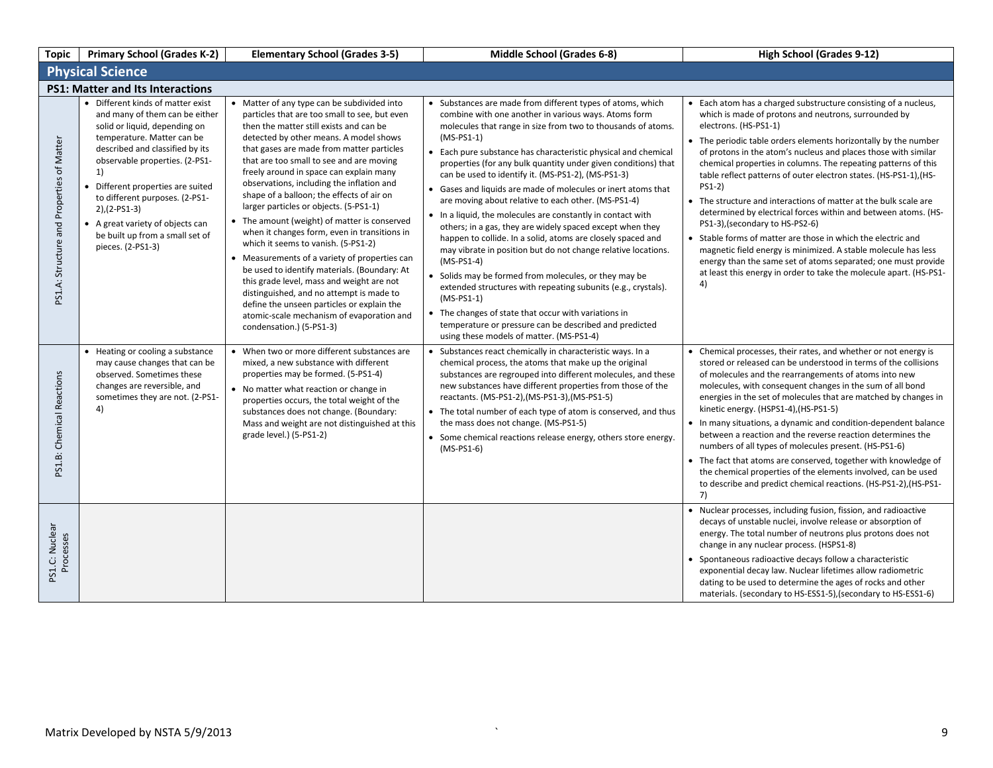| <b>Topic</b>                              | <b>Primary School (Grades K-2)</b>                                                                                                                                                                                                                                                                                                                                                            | <b>Elementary School (Grades 3-5)</b>                                                                                                                                                                                                                                                                                                                                                                                                                                                                                                                                                                                                                                                                                                                                                                                                                                                                             | Middle School (Grades 6-8)                                                                                                                                                                                                                                                                                                                                                                                                                                                                                                                                                                                                                                                                                                                                                                                                                                                                                                                                                                                                                                                                               | High School (Grades 9-12)                                                                                                                                                                                                                                                                                                                                                                                                                                                                                                                                                                                                                                                                                                                                                                                                                                                                      |
|-------------------------------------------|-----------------------------------------------------------------------------------------------------------------------------------------------------------------------------------------------------------------------------------------------------------------------------------------------------------------------------------------------------------------------------------------------|-------------------------------------------------------------------------------------------------------------------------------------------------------------------------------------------------------------------------------------------------------------------------------------------------------------------------------------------------------------------------------------------------------------------------------------------------------------------------------------------------------------------------------------------------------------------------------------------------------------------------------------------------------------------------------------------------------------------------------------------------------------------------------------------------------------------------------------------------------------------------------------------------------------------|----------------------------------------------------------------------------------------------------------------------------------------------------------------------------------------------------------------------------------------------------------------------------------------------------------------------------------------------------------------------------------------------------------------------------------------------------------------------------------------------------------------------------------------------------------------------------------------------------------------------------------------------------------------------------------------------------------------------------------------------------------------------------------------------------------------------------------------------------------------------------------------------------------------------------------------------------------------------------------------------------------------------------------------------------------------------------------------------------------|------------------------------------------------------------------------------------------------------------------------------------------------------------------------------------------------------------------------------------------------------------------------------------------------------------------------------------------------------------------------------------------------------------------------------------------------------------------------------------------------------------------------------------------------------------------------------------------------------------------------------------------------------------------------------------------------------------------------------------------------------------------------------------------------------------------------------------------------------------------------------------------------|
|                                           | <b>Physical Science</b>                                                                                                                                                                                                                                                                                                                                                                       |                                                                                                                                                                                                                                                                                                                                                                                                                                                                                                                                                                                                                                                                                                                                                                                                                                                                                                                   |                                                                                                                                                                                                                                                                                                                                                                                                                                                                                                                                                                                                                                                                                                                                                                                                                                                                                                                                                                                                                                                                                                          |                                                                                                                                                                                                                                                                                                                                                                                                                                                                                                                                                                                                                                                                                                                                                                                                                                                                                                |
|                                           | <b>PS1: Matter and Its Interactions</b>                                                                                                                                                                                                                                                                                                                                                       |                                                                                                                                                                                                                                                                                                                                                                                                                                                                                                                                                                                                                                                                                                                                                                                                                                                                                                                   |                                                                                                                                                                                                                                                                                                                                                                                                                                                                                                                                                                                                                                                                                                                                                                                                                                                                                                                                                                                                                                                                                                          |                                                                                                                                                                                                                                                                                                                                                                                                                                                                                                                                                                                                                                                                                                                                                                                                                                                                                                |
| PS1.A: Structure and Properties of Matter | Different kinds of matter exist<br>and many of them can be either<br>solid or liquid, depending on<br>temperature. Matter can be<br>described and classified by its<br>observable properties. (2-PS1-<br>1)<br>Different properties are suited<br>to different purposes. (2-PS1-<br>$2), (2-PS1-3)$<br>A great variety of objects can<br>be built up from a small set of<br>pieces. (2-PS1-3) | • Matter of any type can be subdivided into<br>particles that are too small to see, but even<br>then the matter still exists and can be<br>detected by other means. A model shows<br>that gases are made from matter particles<br>that are too small to see and are moving<br>freely around in space can explain many<br>observations, including the inflation and<br>shape of a balloon; the effects of air on<br>larger particles or objects. (5-PS1-1)<br>• The amount (weight) of matter is conserved<br>when it changes form, even in transitions in<br>which it seems to vanish. (5-PS1-2)<br>• Measurements of a variety of properties can<br>be used to identify materials. (Boundary: At<br>this grade level, mass and weight are not<br>distinguished, and no attempt is made to<br>define the unseen particles or explain the<br>atomic-scale mechanism of evaporation and<br>condensation.) (5-PS1-3) | • Substances are made from different types of atoms, which<br>combine with one another in various ways. Atoms form<br>molecules that range in size from two to thousands of atoms.<br>$(MS-PS1-1)$<br>• Each pure substance has characteristic physical and chemical<br>properties (for any bulk quantity under given conditions) that<br>can be used to identify it. (MS-PS1-2), (MS-PS1-3)<br>• Gases and liquids are made of molecules or inert atoms that<br>are moving about relative to each other. (MS-PS1-4)<br>• In a liquid, the molecules are constantly in contact with<br>others; in a gas, they are widely spaced except when they<br>happen to collide. In a solid, atoms are closely spaced and<br>may vibrate in position but do not change relative locations.<br>$(MS-PS1-4)$<br>• Solids may be formed from molecules, or they may be<br>extended structures with repeating subunits (e.g., crystals).<br>$(MS-PS1-1)$<br>• The changes of state that occur with variations in<br>temperature or pressure can be described and predicted<br>using these models of matter. (MS-PS1-4) | Each atom has a charged substructure consisting of a nucleus,<br>which is made of protons and neutrons, surrounded by<br>electrons. (HS-PS1-1)<br>• The periodic table orders elements horizontally by the number<br>of protons in the atom's nucleus and places those with similar<br>chemical properties in columns. The repeating patterns of this<br>table reflect patterns of outer electron states. (HS-PS1-1), (HS-<br>$PS1-2)$<br>• The structure and interactions of matter at the bulk scale are<br>determined by electrical forces within and between atoms. (HS-<br>PS1-3), (secondary to HS-PS2-6)<br>• Stable forms of matter are those in which the electric and<br>magnetic field energy is minimized. A stable molecule has less<br>energy than the same set of atoms separated; one must provide<br>at least this energy in order to take the molecule apart. (HS-PS1-<br>4) |
| PS1.B: Chemical Reactions                 | • Heating or cooling a substance<br>may cause changes that can be<br>observed. Sometimes these<br>changes are reversible, and<br>sometimes they are not. (2-PS1-<br>4)                                                                                                                                                                                                                        | • When two or more different substances are<br>mixed, a new substance with different<br>properties may be formed. (5-PS1-4)<br>• No matter what reaction or change in<br>properties occurs, the total weight of the<br>substances does not change. (Boundary:<br>Mass and weight are not distinguished at this<br>grade level.) (5-PS1-2)                                                                                                                                                                                                                                                                                                                                                                                                                                                                                                                                                                         | • Substances react chemically in characteristic ways. In a<br>chemical process, the atoms that make up the original<br>substances are regrouped into different molecules, and these<br>new substances have different properties from those of the<br>reactants. (MS-PS1-2), (MS-PS1-3), (MS-PS1-5)<br>• The total number of each type of atom is conserved, and thus<br>the mass does not change. (MS-PS1-5)<br>• Some chemical reactions release energy, others store energy.<br>$(MS-PS1-6)$                                                                                                                                                                                                                                                                                                                                                                                                                                                                                                                                                                                                           | • Chemical processes, their rates, and whether or not energy is<br>stored or released can be understood in terms of the collisions<br>of molecules and the rearrangements of atoms into new<br>molecules, with consequent changes in the sum of all bond<br>energies in the set of molecules that are matched by changes in<br>kinetic energy. (HSPS1-4), (HS-PS1-5)<br>• In many situations, a dynamic and condition-dependent balance<br>between a reaction and the reverse reaction determines the<br>numbers of all types of molecules present. (HS-PS1-6)<br>• The fact that atoms are conserved, together with knowledge of<br>the chemical properties of the elements involved, can be used<br>to describe and predict chemical reactions. (HS-PS1-2), (HS-PS1-<br>7)                                                                                                                   |
| PS1.C: Nuclear<br>Processes               |                                                                                                                                                                                                                                                                                                                                                                                               |                                                                                                                                                                                                                                                                                                                                                                                                                                                                                                                                                                                                                                                                                                                                                                                                                                                                                                                   |                                                                                                                                                                                                                                                                                                                                                                                                                                                                                                                                                                                                                                                                                                                                                                                                                                                                                                                                                                                                                                                                                                          | • Nuclear processes, including fusion, fission, and radioactive<br>decays of unstable nuclei, involve release or absorption of<br>energy. The total number of neutrons plus protons does not<br>change in any nuclear process. (HSPS1-8)<br>• Spontaneous radioactive decays follow a characteristic<br>exponential decay law. Nuclear lifetimes allow radiometric<br>dating to be used to determine the ages of rocks and other<br>materials. (secondary to HS-ESS1-5), (secondary to HS-ESS1-6)                                                                                                                                                                                                                                                                                                                                                                                              |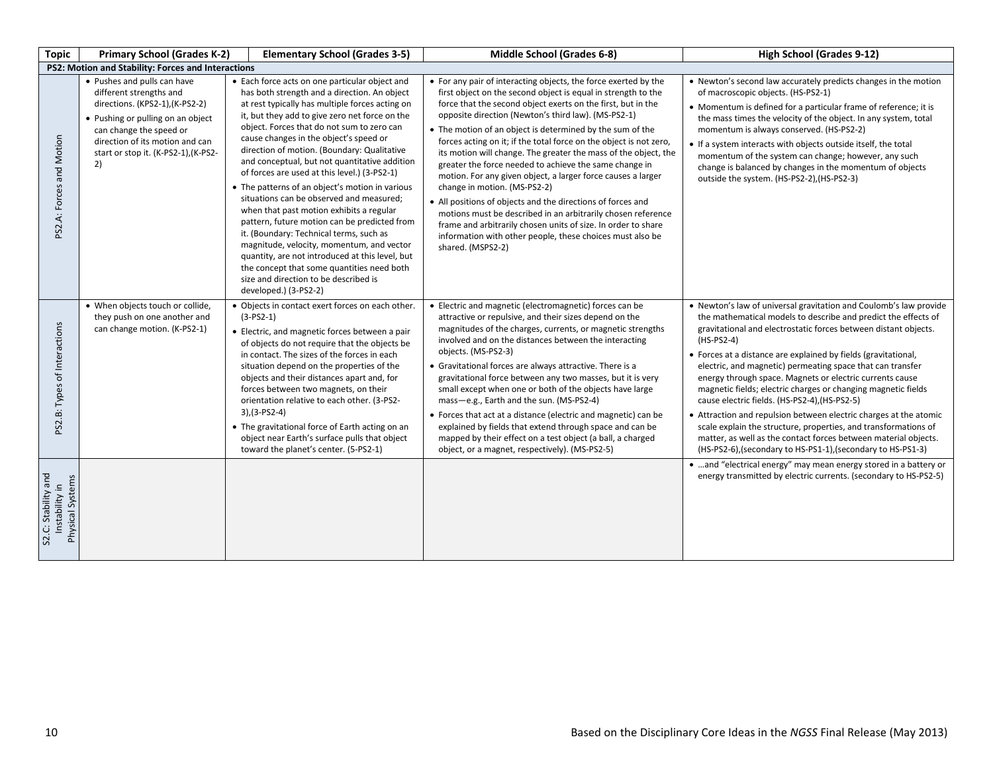| <b>Topic</b>                                              | <b>Primary School (Grades K-2)</b>                                                                                                                                                                                                         | <b>Elementary School (Grades 3-5)</b>                                                                                                                                                                                                                                                                                                                                                                                                                                                                                                                                                                                                                                                                                                                                                                                                                                                             | Middle School (Grades 6-8)                                                                                                                                                                                                                                                                                                                                                                                                                                                                                                                                                                                                                                                                                                                                                                                                                                                                                | <b>High School (Grades 9-12)</b>                                                                                                                                                                                                                                                                                                                                                                                                                                                                                                                                                                                                                                                                                                                                                                                |
|-----------------------------------------------------------|--------------------------------------------------------------------------------------------------------------------------------------------------------------------------------------------------------------------------------------------|---------------------------------------------------------------------------------------------------------------------------------------------------------------------------------------------------------------------------------------------------------------------------------------------------------------------------------------------------------------------------------------------------------------------------------------------------------------------------------------------------------------------------------------------------------------------------------------------------------------------------------------------------------------------------------------------------------------------------------------------------------------------------------------------------------------------------------------------------------------------------------------------------|-----------------------------------------------------------------------------------------------------------------------------------------------------------------------------------------------------------------------------------------------------------------------------------------------------------------------------------------------------------------------------------------------------------------------------------------------------------------------------------------------------------------------------------------------------------------------------------------------------------------------------------------------------------------------------------------------------------------------------------------------------------------------------------------------------------------------------------------------------------------------------------------------------------|-----------------------------------------------------------------------------------------------------------------------------------------------------------------------------------------------------------------------------------------------------------------------------------------------------------------------------------------------------------------------------------------------------------------------------------------------------------------------------------------------------------------------------------------------------------------------------------------------------------------------------------------------------------------------------------------------------------------------------------------------------------------------------------------------------------------|
|                                                           | PS2: Motion and Stability: Forces and Interactions                                                                                                                                                                                         |                                                                                                                                                                                                                                                                                                                                                                                                                                                                                                                                                                                                                                                                                                                                                                                                                                                                                                   |                                                                                                                                                                                                                                                                                                                                                                                                                                                                                                                                                                                                                                                                                                                                                                                                                                                                                                           |                                                                                                                                                                                                                                                                                                                                                                                                                                                                                                                                                                                                                                                                                                                                                                                                                 |
| PS2.A: Forces and Motion                                  | • Pushes and pulls can have<br>different strengths and<br>directions. (KPS2-1), (K-PS2-2)<br>• Pushing or pulling on an object<br>can change the speed or<br>direction of its motion and can<br>start or stop it. (K-PS2-1), (K-PS2-<br>2) | • Each force acts on one particular object and<br>has both strength and a direction. An object<br>at rest typically has multiple forces acting on<br>it, but they add to give zero net force on the<br>object. Forces that do not sum to zero can<br>cause changes in the object's speed or<br>direction of motion. (Boundary: Qualitative<br>and conceptual, but not quantitative addition<br>of forces are used at this level.) (3-PS2-1)<br>• The patterns of an object's motion in various<br>situations can be observed and measured:<br>when that past motion exhibits a regular<br>pattern, future motion can be predicted from<br>it. (Boundary: Technical terms, such as<br>magnitude, velocity, momentum, and vector<br>quantity, are not introduced at this level, but<br>the concept that some quantities need both<br>size and direction to be described is<br>developed.) (3-PS2-2) | • For any pair of interacting objects, the force exerted by the<br>first object on the second object is equal in strength to the<br>force that the second object exerts on the first, but in the<br>opposite direction (Newton's third law). (MS-PS2-1)<br>• The motion of an object is determined by the sum of the<br>forces acting on it; if the total force on the object is not zero,<br>its motion will change. The greater the mass of the object, the<br>greater the force needed to achieve the same change in<br>motion. For any given object, a larger force causes a larger<br>change in motion. (MS-PS2-2)<br>• All positions of objects and the directions of forces and<br>motions must be described in an arbitrarily chosen reference<br>frame and arbitrarily chosen units of size. In order to share<br>information with other people, these choices must also be<br>shared. (MSPS2-2) | • Newton's second law accurately predicts changes in the motion<br>of macroscopic objects. (HS-PS2-1)<br>• Momentum is defined for a particular frame of reference; it is<br>the mass times the velocity of the object. In any system, total<br>momentum is always conserved. (HS-PS2-2)<br>• If a system interacts with objects outside itself, the total<br>momentum of the system can change; however, any such<br>change is balanced by changes in the momentum of objects<br>outside the system. (HS-PS2-2), (HS-PS2-3)                                                                                                                                                                                                                                                                                    |
| PS2.B: Types of Interactions                              | . When objects touch or collide,<br>they push on one another and<br>can change motion. (K-PS2-1)                                                                                                                                           | • Objects in contact exert forces on each other.<br>$(3-PS2-1)$<br>• Electric, and magnetic forces between a pair<br>of objects do not require that the objects be<br>in contact. The sizes of the forces in each<br>situation depend on the properties of the<br>objects and their distances apart and, for<br>forces between two magnets, on their<br>orientation relative to each other. (3-PS2-<br>$3), (3-PS2-4)$<br>• The gravitational force of Earth acting on an<br>object near Earth's surface pulls that object<br>toward the planet's center. (5-PS2-1)                                                                                                                                                                                                                                                                                                                               | • Electric and magnetic (electromagnetic) forces can be<br>attractive or repulsive, and their sizes depend on the<br>magnitudes of the charges, currents, or magnetic strengths<br>involved and on the distances between the interacting<br>objects. (MS-PS2-3)<br>• Gravitational forces are always attractive. There is a<br>gravitational force between any two masses, but it is very<br>small except when one or both of the objects have large<br>mass-e.g., Earth and the sun. (MS-PS2-4)<br>• Forces that act at a distance (electric and magnetic) can be<br>explained by fields that extend through space and can be<br>mapped by their effect on a test object (a ball, a charged<br>object, or a magnet, respectively). (MS-PS2-5)                                                                                                                                                            | . Newton's law of universal gravitation and Coulomb's law provide<br>the mathematical models to describe and predict the effects of<br>gravitational and electrostatic forces between distant objects.<br>$(HS-PS2-4)$<br>• Forces at a distance are explained by fields (gravitational,<br>electric, and magnetic) permeating space that can transfer<br>energy through space. Magnets or electric currents cause<br>magnetic fields; electric charges or changing magnetic fields<br>cause electric fields. (HS-PS2-4), (HS-PS2-5)<br>• Attraction and repulsion between electric charges at the atomic<br>scale explain the structure, properties, and transformations of<br>matter, as well as the contact forces between material objects.<br>(HS-PS2-6), (secondary to HS-PS1-1), (secondary to HS-PS1-3) |
| S2.C: Stability and<br>Physical Systems<br>Instability in |                                                                                                                                                                                                                                            |                                                                                                                                                                                                                                                                                                                                                                                                                                                                                                                                                                                                                                                                                                                                                                                                                                                                                                   |                                                                                                                                                                                                                                                                                                                                                                                                                                                                                                                                                                                                                                                                                                                                                                                                                                                                                                           | •  and "electrical energy" may mean energy stored in a battery or<br>energy transmitted by electric currents. (secondary to HS-PS2-5)                                                                                                                                                                                                                                                                                                                                                                                                                                                                                                                                                                                                                                                                           |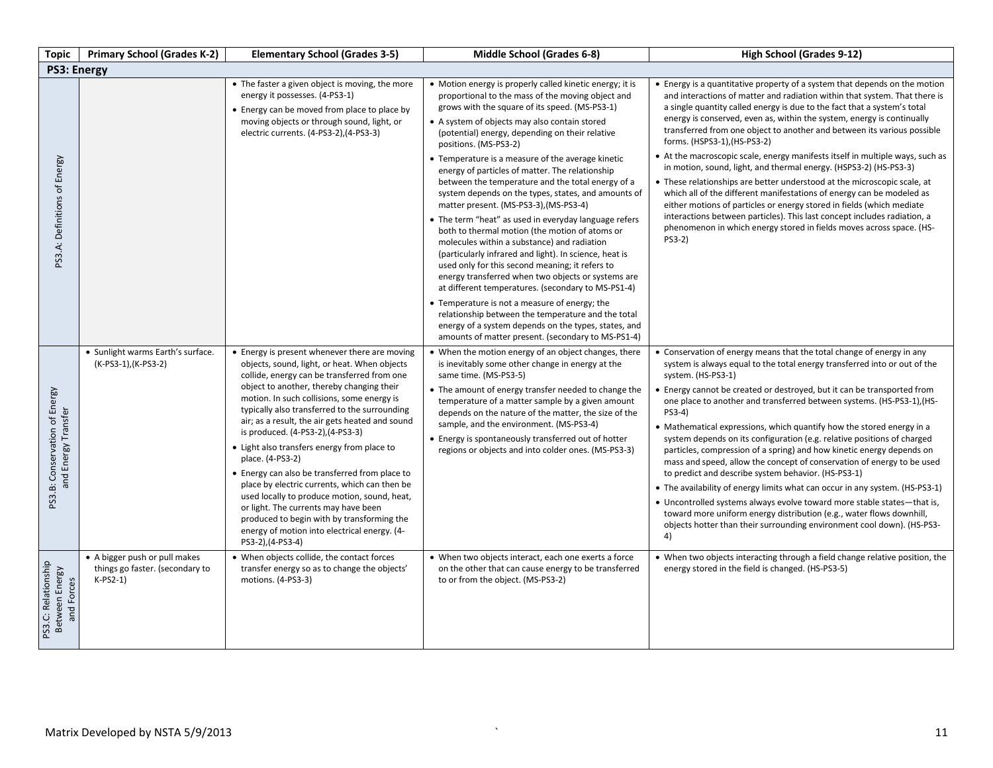| <b>Topic</b>                                                                              | <b>Primary School (Grades K-2)</b>                                             | <b>Elementary School (Grades 3-5)</b>                                                                                                                                                                                                                                                                                                                                                                                                                                                                                                                                                                                                                                                                                                                             | Middle School (Grades 6-8)                                                                                                                                                                                                                                                                                                                                                                                                                                                                                                                                                                                                                                                                                                                                                                                                                                                                                                                                                                                                                                                                                                                                         | High School (Grades 9-12)                                                                                                                                                                                                                                                                                                                                                                                                                                                                                                                                                                                                                                                                                                                                                                                                                                                                                                                                                                                                  |
|-------------------------------------------------------------------------------------------|--------------------------------------------------------------------------------|-------------------------------------------------------------------------------------------------------------------------------------------------------------------------------------------------------------------------------------------------------------------------------------------------------------------------------------------------------------------------------------------------------------------------------------------------------------------------------------------------------------------------------------------------------------------------------------------------------------------------------------------------------------------------------------------------------------------------------------------------------------------|--------------------------------------------------------------------------------------------------------------------------------------------------------------------------------------------------------------------------------------------------------------------------------------------------------------------------------------------------------------------------------------------------------------------------------------------------------------------------------------------------------------------------------------------------------------------------------------------------------------------------------------------------------------------------------------------------------------------------------------------------------------------------------------------------------------------------------------------------------------------------------------------------------------------------------------------------------------------------------------------------------------------------------------------------------------------------------------------------------------------------------------------------------------------|----------------------------------------------------------------------------------------------------------------------------------------------------------------------------------------------------------------------------------------------------------------------------------------------------------------------------------------------------------------------------------------------------------------------------------------------------------------------------------------------------------------------------------------------------------------------------------------------------------------------------------------------------------------------------------------------------------------------------------------------------------------------------------------------------------------------------------------------------------------------------------------------------------------------------------------------------------------------------------------------------------------------------|
| <b>PS3: Energy</b>                                                                        |                                                                                |                                                                                                                                                                                                                                                                                                                                                                                                                                                                                                                                                                                                                                                                                                                                                                   |                                                                                                                                                                                                                                                                                                                                                                                                                                                                                                                                                                                                                                                                                                                                                                                                                                                                                                                                                                                                                                                                                                                                                                    |                                                                                                                                                                                                                                                                                                                                                                                                                                                                                                                                                                                                                                                                                                                                                                                                                                                                                                                                                                                                                            |
| PS3.A: Definitions of Energy                                                              |                                                                                | • The faster a given object is moving, the more<br>energy it possesses. (4-PS3-1)<br>• Energy can be moved from place to place by<br>moving objects or through sound, light, or<br>electric currents. (4-PS3-2), (4-PS3-3)                                                                                                                                                                                                                                                                                                                                                                                                                                                                                                                                        | • Motion energy is properly called kinetic energy; it is<br>proportional to the mass of the moving object and<br>grows with the square of its speed. (MS-PS3-1)<br>• A system of objects may also contain stored<br>(potential) energy, depending on their relative<br>positions. (MS-PS3-2)<br>• Temperature is a measure of the average kinetic<br>energy of particles of matter. The relationship<br>between the temperature and the total energy of a<br>system depends on the types, states, and amounts of<br>matter present. (MS-PS3-3), (MS-PS3-4)<br>• The term "heat" as used in everyday language refers<br>both to thermal motion (the motion of atoms or<br>molecules within a substance) and radiation<br>(particularly infrared and light). In science, heat is<br>used only for this second meaning; it refers to<br>energy transferred when two objects or systems are<br>at different temperatures. (secondary to MS-PS1-4)<br>• Temperature is not a measure of energy; the<br>relationship between the temperature and the total<br>energy of a system depends on the types, states, and<br>amounts of matter present. (secondary to MS-PS1-4) | • Energy is a quantitative property of a system that depends on the motion<br>and interactions of matter and radiation within that system. That there is<br>a single quantity called energy is due to the fact that a system's total<br>energy is conserved, even as, within the system, energy is continually<br>transferred from one object to another and between its various possible<br>forms. (HSPS3-1), (HS-PS3-2)<br>• At the macroscopic scale, energy manifests itself in multiple ways, such as<br>in motion, sound, light, and thermal energy. (HSPS3-2) (HS-PS3-3)<br>• These relationships are better understood at the microscopic scale, at<br>which all of the different manifestations of energy can be modeled as<br>either motions of particles or energy stored in fields (which mediate<br>interactions between particles). This last concept includes radiation, a<br>phenomenon in which energy stored in fields moves across space. (HS-<br>PS3-2)                                                |
| of Energy<br>Energy Transfer<br>Conservation<br>and<br>$\dot{\underline{\omega}}$<br>PS3. | • Sunlight warms Earth's surface.<br>(K-PS3-1), (K-PS3-2)                      | • Energy is present whenever there are moving<br>objects, sound, light, or heat. When objects<br>collide, energy can be transferred from one<br>object to another, thereby changing their<br>motion. In such collisions, some energy is<br>typically also transferred to the surrounding<br>air; as a result, the air gets heated and sound<br>is produced. (4-PS3-2), (4-PS3-3)<br>• Light also transfers energy from place to<br>place. (4-PS3-2)<br>• Energy can also be transferred from place to<br>place by electric currents, which can then be<br>used locally to produce motion, sound, heat,<br>or light. The currents may have been<br>produced to begin with by transforming the<br>energy of motion into electrical energy. (4-<br>PS3-2), (4-PS3-4) | • When the motion energy of an object changes, there<br>is inevitably some other change in energy at the<br>same time. (MS-PS3-5)<br>• The amount of energy transfer needed to change the<br>temperature of a matter sample by a given amount<br>depends on the nature of the matter, the size of the<br>sample, and the environment. (MS-PS3-4)<br>• Energy is spontaneously transferred out of hotter<br>regions or objects and into colder ones. (MS-PS3-3)                                                                                                                                                                                                                                                                                                                                                                                                                                                                                                                                                                                                                                                                                                     | • Conservation of energy means that the total change of energy in any<br>system is always equal to the total energy transferred into or out of the<br>system. (HS-PS3-1)<br>• Energy cannot be created or destroyed, but it can be transported from<br>one place to another and transferred between systems. (HS-PS3-1), (HS-<br>$PS3-4)$<br>• Mathematical expressions, which quantify how the stored energy in a<br>system depends on its configuration (e.g. relative positions of charged<br>particles, compression of a spring) and how kinetic energy depends on<br>mass and speed, allow the concept of conservation of energy to be used<br>to predict and describe system behavior. (HS-PS3-1)<br>• The availability of energy limits what can occur in any system. (HS-PS3-1)<br>• Uncontrolled systems always evolve toward more stable states-that is,<br>toward more uniform energy distribution (e.g., water flows downhill,<br>objects hotter than their surrounding environment cool down). (HS-PS3-<br>4) |
| PS3.C: Relationship<br>Between Energy<br>Forces<br>and                                    | • A bigger push or pull makes<br>things go faster. (secondary to<br>$K-PS2-1)$ | • When objects collide, the contact forces<br>transfer energy so as to change the objects'<br>motions. (4-PS3-3)                                                                                                                                                                                                                                                                                                                                                                                                                                                                                                                                                                                                                                                  | • When two objects interact, each one exerts a force<br>on the other that can cause energy to be transferred<br>to or from the object. (MS-PS3-2)                                                                                                                                                                                                                                                                                                                                                                                                                                                                                                                                                                                                                                                                                                                                                                                                                                                                                                                                                                                                                  | • When two objects interacting through a field change relative position, the<br>energy stored in the field is changed. (HS-PS3-5)                                                                                                                                                                                                                                                                                                                                                                                                                                                                                                                                                                                                                                                                                                                                                                                                                                                                                          |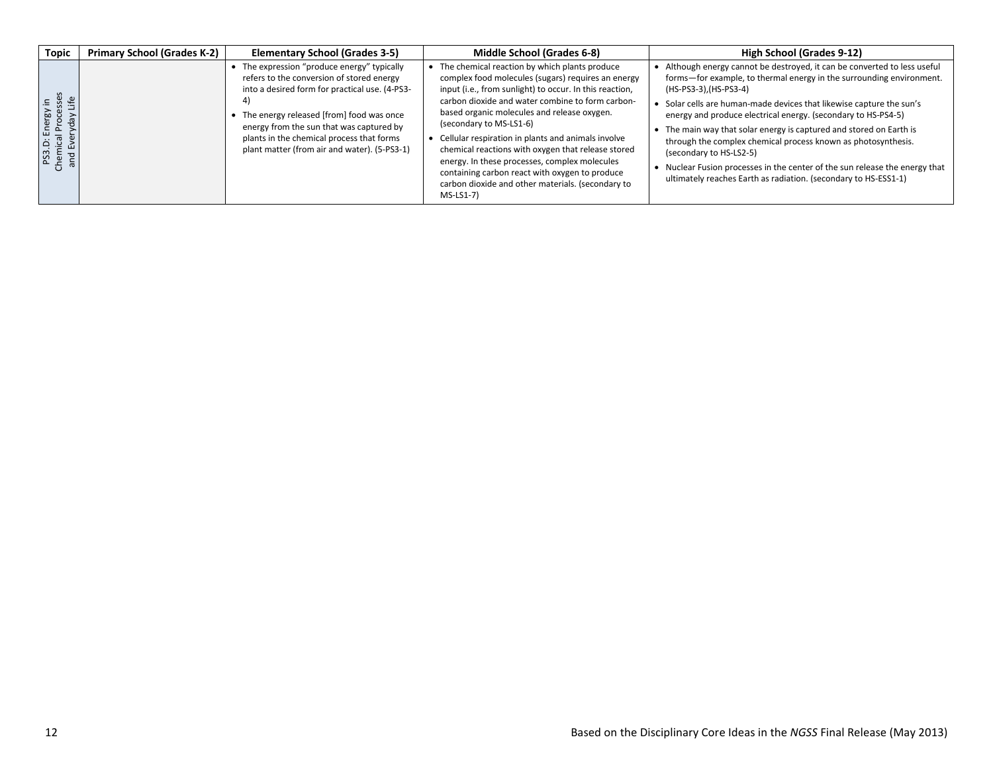| Topic                           | <b>Primary School (Grades K-2)</b> | <b>Elementary School (Grades 3-5)</b>                                                                                                                                                                                                                                                                                         | Middle School (Grades 6-8)                                                                                                                                                                                                                                                                                                                                                                                                                                                                                                                                                     | High School (Grades 9-12)                                                                                                                                                                                                                                                                                                                                                                                                                                                                                                                                                                                                           |
|---------------------------------|------------------------------------|-------------------------------------------------------------------------------------------------------------------------------------------------------------------------------------------------------------------------------------------------------------------------------------------------------------------------------|--------------------------------------------------------------------------------------------------------------------------------------------------------------------------------------------------------------------------------------------------------------------------------------------------------------------------------------------------------------------------------------------------------------------------------------------------------------------------------------------------------------------------------------------------------------------------------|-------------------------------------------------------------------------------------------------------------------------------------------------------------------------------------------------------------------------------------------------------------------------------------------------------------------------------------------------------------------------------------------------------------------------------------------------------------------------------------------------------------------------------------------------------------------------------------------------------------------------------------|
| sses<br>Life<br>nergy<br>PS3.D: |                                    | The expression "produce energy" typically<br>refers to the conversion of stored energy<br>into a desired form for practical use. (4-PS3-<br>The energy released [from] food was once<br>energy from the sun that was captured by<br>plants in the chemical process that forms<br>plant matter (from air and water). (5-PS3-1) | The chemical reaction by which plants produce<br>complex food molecules (sugars) requires an energy<br>input (i.e., from sunlight) to occur. In this reaction,<br>carbon dioxide and water combine to form carbon-<br>based organic molecules and release oxygen.<br>(secondary to MS-LS1-6)<br>Cellular respiration in plants and animals involve<br>chemical reactions with oxygen that release stored<br>energy. In these processes, complex molecules<br>containing carbon react with oxygen to produce<br>carbon dioxide and other materials. (secondary to<br>$MS-LS1-7$ | Although energy cannot be destroyed, it can be converted to less useful<br>forms-for example, to thermal energy in the surrounding environment.<br>(HS-PS3-3), (HS-PS3-4)<br>• Solar cells are human-made devices that likewise capture the sun's<br>energy and produce electrical energy. (secondary to HS-PS4-5)<br>The main way that solar energy is captured and stored on Earth is<br>through the complex chemical process known as photosynthesis.<br>(secondary to HS-LS2-5)<br>Nuclear Fusion processes in the center of the sun release the energy that<br>ultimately reaches Earth as radiation. (secondary to HS-ESS1-1) |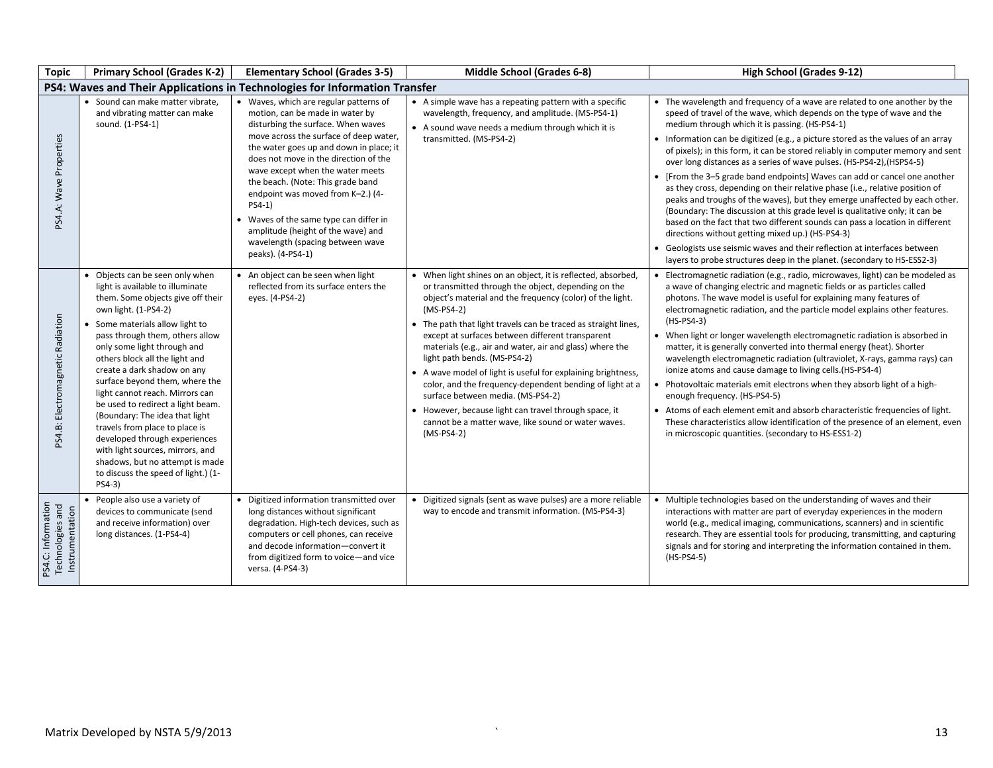| <b>Topic</b>                                                               | <b>Primary School (Grades K-2)</b>                                                                                                                                                                                                                                                                                                                                                                                                                                                                                                                                                                                                              | <b>Elementary School (Grades 3-5)</b>                                                                                                                                                                                                                                                                                                                                                                                                                                                                            | Middle School (Grades 6-8)                                                                                                                                                                                                                                                                                                                                                                                                                                                                                                                                                                                                                                                                                          | High School (Grades 9-12)                                                                                                                                                                                                                                                                                                                                                                                                                                                                                                                                                                                                                                                                                                                                                                                                                                                                                                                                                                                                                                                     |  |  |  |  |
|----------------------------------------------------------------------------|-------------------------------------------------------------------------------------------------------------------------------------------------------------------------------------------------------------------------------------------------------------------------------------------------------------------------------------------------------------------------------------------------------------------------------------------------------------------------------------------------------------------------------------------------------------------------------------------------------------------------------------------------|------------------------------------------------------------------------------------------------------------------------------------------------------------------------------------------------------------------------------------------------------------------------------------------------------------------------------------------------------------------------------------------------------------------------------------------------------------------------------------------------------------------|---------------------------------------------------------------------------------------------------------------------------------------------------------------------------------------------------------------------------------------------------------------------------------------------------------------------------------------------------------------------------------------------------------------------------------------------------------------------------------------------------------------------------------------------------------------------------------------------------------------------------------------------------------------------------------------------------------------------|-------------------------------------------------------------------------------------------------------------------------------------------------------------------------------------------------------------------------------------------------------------------------------------------------------------------------------------------------------------------------------------------------------------------------------------------------------------------------------------------------------------------------------------------------------------------------------------------------------------------------------------------------------------------------------------------------------------------------------------------------------------------------------------------------------------------------------------------------------------------------------------------------------------------------------------------------------------------------------------------------------------------------------------------------------------------------------|--|--|--|--|
| PS4: Waves and Their Applications in Technologies for Information Transfer |                                                                                                                                                                                                                                                                                                                                                                                                                                                                                                                                                                                                                                                 |                                                                                                                                                                                                                                                                                                                                                                                                                                                                                                                  |                                                                                                                                                                                                                                                                                                                                                                                                                                                                                                                                                                                                                                                                                                                     |                                                                                                                                                                                                                                                                                                                                                                                                                                                                                                                                                                                                                                                                                                                                                                                                                                                                                                                                                                                                                                                                               |  |  |  |  |
| PS4.A: Wave Properties                                                     | · Sound can make matter vibrate,<br>and vibrating matter can make<br>sound. (1-PS4-1)                                                                                                                                                                                                                                                                                                                                                                                                                                                                                                                                                           | • Waves, which are regular patterns of<br>motion, can be made in water by<br>disturbing the surface. When waves<br>move across the surface of deep water,<br>the water goes up and down in place; it<br>does not move in the direction of the<br>wave except when the water meets<br>the beach. (Note: This grade band<br>endpoint was moved from K-2.) (4-<br>$PS4-1)$<br>• Waves of the same type can differ in<br>amplitude (height of the wave) and<br>wavelength (spacing between wave<br>peaks). (4-PS4-1) | • A simple wave has a repeating pattern with a specific<br>wavelength, frequency, and amplitude. (MS-PS4-1)<br>• A sound wave needs a medium through which it is<br>transmitted. (MS-PS4-2)                                                                                                                                                                                                                                                                                                                                                                                                                                                                                                                         | • The wavelength and frequency of a wave are related to one another by the<br>speed of travel of the wave, which depends on the type of wave and the<br>medium through which it is passing. (HS-PS4-1)<br>• Information can be digitized (e.g., a picture stored as the values of an array<br>of pixels); in this form, it can be stored reliably in computer memory and sent<br>over long distances as a series of wave pulses. (HS-PS4-2), (HSPS4-5)<br>• [From the 3-5 grade band endpoints] Waves can add or cancel one another<br>as they cross, depending on their relative phase (i.e., relative position of<br>peaks and troughs of the waves), but they emerge unaffected by each other.<br>(Boundary: The discussion at this grade level is qualitative only; it can be<br>based on the fact that two different sounds can pass a location in different<br>directions without getting mixed up.) (HS-PS4-3)<br>• Geologists use seismic waves and their reflection at interfaces between<br>layers to probe structures deep in the planet. (secondary to HS-ESS2-3) |  |  |  |  |
| PS4.B: Electromagnetic Radiation                                           | • Objects can be seen only when<br>light is available to illuminate<br>them. Some objects give off their<br>own light. (1-PS4-2)<br>• Some materials allow light to<br>pass through them, others allow<br>only some light through and<br>others block all the light and<br>create a dark shadow on any<br>surface beyond them, where the<br>light cannot reach. Mirrors can<br>be used to redirect a light beam.<br>(Boundary: The idea that light<br>travels from place to place is<br>developed through experiences<br>with light sources, mirrors, and<br>shadows, but no attempt is made<br>to discuss the speed of light.) (1-<br>$PS4-3)$ | • An object can be seen when light<br>reflected from its surface enters the<br>eyes. (4-PS4-2)                                                                                                                                                                                                                                                                                                                                                                                                                   | • When light shines on an object, it is reflected, absorbed,<br>or transmitted through the object, depending on the<br>object's material and the frequency (color) of the light.<br>$(MS-PS4-2)$<br>• The path that light travels can be traced as straight lines,<br>except at surfaces between different transparent<br>materials (e.g., air and water, air and glass) where the<br>light path bends. (MS-PS4-2)<br>• A wave model of light is useful for explaining brightness,<br>color, and the frequency-dependent bending of light at a<br>surface between media. (MS-PS4-2)<br>• However, because light can travel through space, it<br>cannot be a matter wave, like sound or water waves.<br>$(MS-PS4-2)$ | • Electromagnetic radiation (e.g., radio, microwaves, light) can be modeled as<br>a wave of changing electric and magnetic fields or as particles called<br>photons. The wave model is useful for explaining many features of<br>electromagnetic radiation, and the particle model explains other features.<br>$(HS-PS4-3)$<br>• When light or longer wavelength electromagnetic radiation is absorbed in<br>matter, it is generally converted into thermal energy (heat). Shorter<br>wavelength electromagnetic radiation (ultraviolet, X-rays, gamma rays) can<br>ionize atoms and cause damage to living cells.(HS-PS4-4)<br>Photovoltaic materials emit electrons when they absorb light of a high-<br>enough frequency. (HS-PS4-5)<br>• Atoms of each element emit and absorb characteristic frequencies of light.<br>These characteristics allow identification of the presence of an element, even<br>in microscopic quantities. (secondary to HS-ESS1-2)                                                                                                              |  |  |  |  |
| PS4.C: Information<br>Technologies and<br>Instrumentation                  | People also use a variety of<br>devices to communicate (send<br>and receive information) over<br>long distances. (1-PS4-4)                                                                                                                                                                                                                                                                                                                                                                                                                                                                                                                      | • Digitized information transmitted over<br>long distances without significant<br>degradation. High-tech devices, such as<br>computers or cell phones, can receive<br>and decode information-convert it<br>from digitized form to voice-and vice<br>versa. (4-PS4-3)                                                                                                                                                                                                                                             | Digitized signals (sent as wave pulses) are a more reliable<br>way to encode and transmit information. (MS-PS4-3)                                                                                                                                                                                                                                                                                                                                                                                                                                                                                                                                                                                                   | • Multiple technologies based on the understanding of waves and their<br>interactions with matter are part of everyday experiences in the modern<br>world (e.g., medical imaging, communications, scanners) and in scientific<br>research. They are essential tools for producing, transmitting, and capturing<br>signals and for storing and interpreting the information contained in them.<br>$(HS-PS4-5)$                                                                                                                                                                                                                                                                                                                                                                                                                                                                                                                                                                                                                                                                 |  |  |  |  |